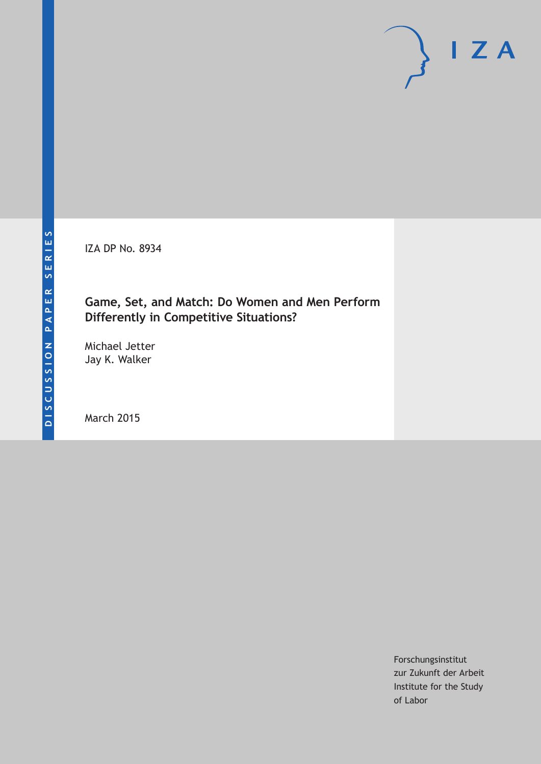IZA DP No. 8934

# **Game, Set, and Match: Do Women and Men Perform Differently in Competitive Situations?**

Michael Jetter Jay K. Walker

March 2015

Forschungsinstitut zur Zukunft der Arbeit Institute for the Study of Labor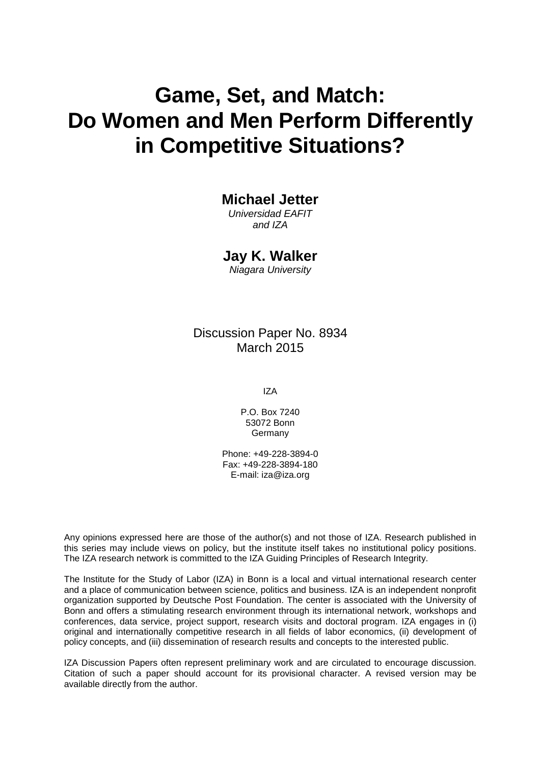# **Game, Set, and Match: Do Women and Men Perform Differently in Competitive Situations?**

# **Michael Jetter**

*Universidad EAFIT and IZA*

#### **Jay K. Walker**

*Niagara University*

### Discussion Paper No. 8934 March 2015

IZA

P.O. Box 7240 53072 Bonn Germany

Phone: +49-228-3894-0 Fax: +49-228-3894-180 E-mail: iza@iza.org

Any opinions expressed here are those of the author(s) and not those of IZA. Research published in this series may include views on policy, but the institute itself takes no institutional policy positions. The IZA research network is committed to the IZA Guiding Principles of Research Integrity.

The Institute for the Study of Labor (IZA) in Bonn is a local and virtual international research center and a place of communication between science, politics and business. IZA is an independent nonprofit organization supported by Deutsche Post Foundation. The center is associated with the University of Bonn and offers a stimulating research environment through its international network, workshops and conferences, data service, project support, research visits and doctoral program. IZA engages in (i) original and internationally competitive research in all fields of labor economics, (ii) development of policy concepts, and (iii) dissemination of research results and concepts to the interested public.

IZA Discussion Papers often represent preliminary work and are circulated to encourage discussion. Citation of such a paper should account for its provisional character. A revised version may be available directly from the author.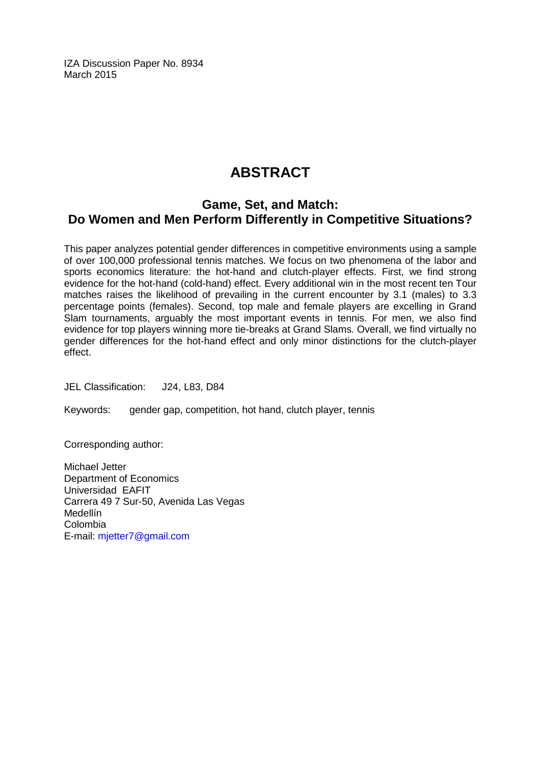IZA Discussion Paper No. 8934 March 2015

# **ABSTRACT**

# **Game, Set, and Match: Do Women and Men Perform Differently in Competitive Situations?**

This paper analyzes potential gender differences in competitive environments using a sample of over 100,000 professional tennis matches. We focus on two phenomena of the labor and sports economics literature: the hot-hand and clutch-player effects. First, we find strong evidence for the hot-hand (cold-hand) effect. Every additional win in the most recent ten Tour matches raises the likelihood of prevailing in the current encounter by 3.1 (males) to 3.3 percentage points (females). Second, top male and female players are excelling in Grand Slam tournaments, arguably the most important events in tennis. For men, we also find evidence for top players winning more tie-breaks at Grand Slams. Overall, we find virtually no gender differences for the hot-hand effect and only minor distinctions for the clutch-player effect.

JEL Classification: J24, L83, D84

Keywords: gender gap, competition, hot hand, clutch player, tennis

Corresponding author:

Michael Jetter Department of Economics Universidad EAFIT Carrera 49 7 Sur-50, Avenida Las Vegas Medellín Colombia E-mail: [mjetter7@gmail.com](mailto:mjetter7@gmail.com)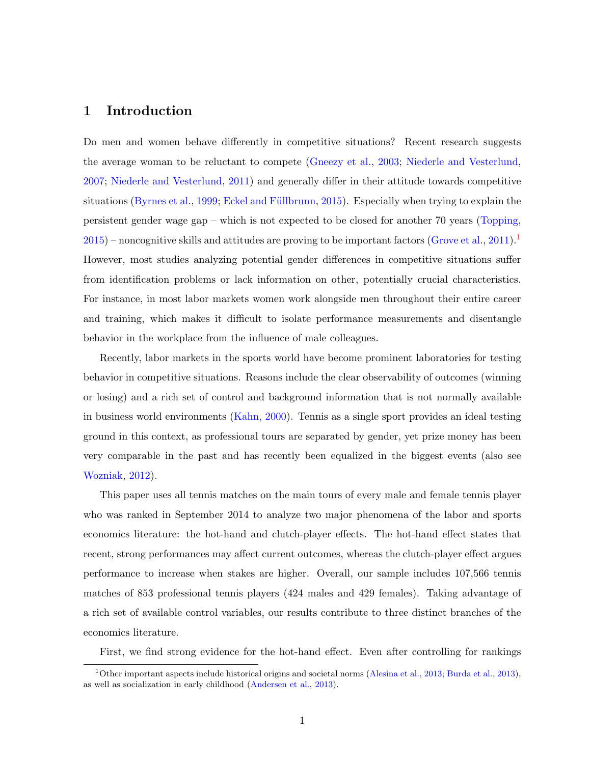#### 1 Introduction

Do men and women behave differently in competitive situations? Recent research suggests the average woman to be reluctant to compete [\(Gneezy et al.,](#page-28-0) [2003;](#page-28-0) [Niederle and Vesterlund,](#page-29-0) [2007;](#page-29-0) [Niederle and Vesterlund,](#page-29-1) [2011\)](#page-29-1) and generally differ in their attitude towards competitive situations [\(Byrnes et al.,](#page-28-1) [1999;](#page-28-1) Eckel and Füllbrunn, [2015\)](#page-28-2). Especially when trying to explain the persistent gender wage gap – which is not expected to be closed for another 70 years [\(Topping,](#page-29-2)  $2015$  $2015$  $2015$  – noncognitive skills and attitudes are proving to be important factors [\(Grove et al.,](#page-29-3) [2011\)](#page-29-3). However, most studies analyzing potential gender differences in competitive situations suffer from identification problems or lack information on other, potentially crucial characteristics. For instance, in most labor markets women work alongside men throughout their entire career and training, which makes it difficult to isolate performance measurements and disentangle behavior in the workplace from the influence of male colleagues.

Recently, labor markets in the sports world have become prominent laboratories for testing behavior in competitive situations. Reasons include the clear observability of outcomes (winning or losing) and a rich set of control and background information that is not normally available in business world environments [\(Kahn,](#page-29-4) [2000\)](#page-29-4). Tennis as a single sport provides an ideal testing ground in this context, as professional tours are separated by gender, yet prize money has been very comparable in the past and has recently been equalized in the biggest events (also see [Wozniak,](#page-29-5) [2012\)](#page-29-5).

This paper uses all tennis matches on the main tours of every male and female tennis player who was ranked in September 2014 to analyze two major phenomena of the labor and sports economics literature: the hot-hand and clutch-player effects. The hot-hand effect states that recent, strong performances may affect current outcomes, whereas the clutch-player effect argues performance to increase when stakes are higher. Overall, our sample includes 107,566 tennis matches of 853 professional tennis players (424 males and 429 females). Taking advantage of a rich set of available control variables, our results contribute to three distinct branches of the economics literature.

First, we find strong evidence for the hot-hand effect. Even after controlling for rankings

<span id="page-3-0"></span><sup>&</sup>lt;sup>1</sup>Other important aspects include historical origins and societal norms [\(Alesina et al.,](#page-28-3) [2013;](#page-28-3) [Burda et al.,](#page-28-4) [2013\)](#page-28-4), as well as socialization in early childhood [\(Andersen et al.,](#page-28-5) [2013\)](#page-28-5).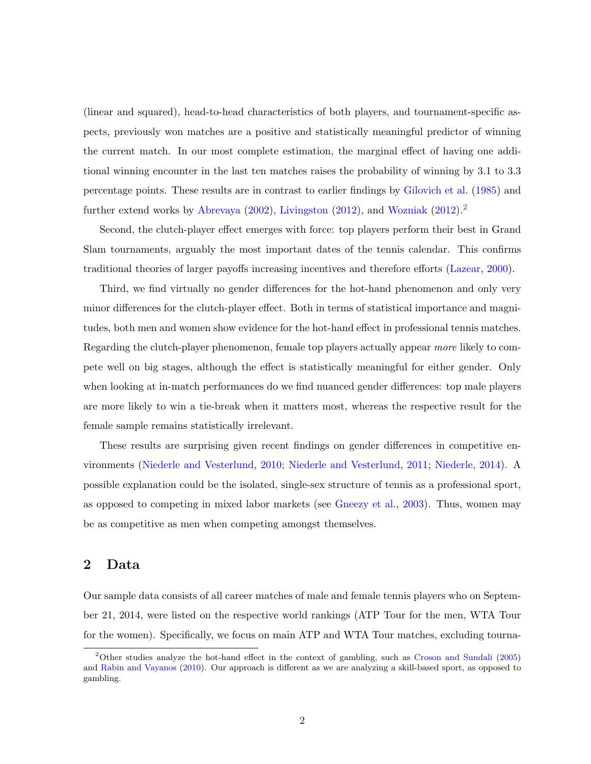(linear and squared), head-to-head characteristics of both players, and tournament-specific aspects, previously won matches are a positive and statistically meaningful predictor of winning the current match. In our most complete estimation, the marginal effect of having one additional winning encounter in the last ten matches raises the probability of winning by 3.1 to 3.3 percentage points. These results are in contrast to earlier findings by [Gilovich et al.](#page-28-6) [\(1985\)](#page-28-6) and further extend works by [Abrevaya](#page-28-7) [\(2002\)](#page-28-7), [Livingston](#page-29-6) [\(2012\)](#page-29-5), and [Wozniak](#page-29-5) ([2](#page-4-0)012).<sup>2</sup>

Second, the clutch-player effect emerges with force: top players perform their best in Grand Slam tournaments, arguably the most important dates of the tennis calendar. This confirms traditional theories of larger payoffs increasing incentives and therefore efforts [\(Lazear,](#page-29-7) [2000\)](#page-29-7).

Third, we find virtually no gender differences for the hot-hand phenomenon and only very minor differences for the clutch-player effect. Both in terms of statistical importance and magnitudes, both men and women show evidence for the hot-hand effect in professional tennis matches. Regarding the clutch-player phenomenon, female top players actually appear more likely to compete well on big stages, although the effect is statistically meaningful for either gender. Only when looking at in-match performances do we find nuanced gender differences: top male players are more likely to win a tie-break when it matters most, whereas the respective result for the female sample remains statistically irrelevant.

These results are surprising given recent findings on gender differences in competitive environments [\(Niederle and Vesterlund,](#page-29-8) [2010;](#page-29-8) [Niederle and Vesterlund,](#page-29-1) [2011;](#page-29-1) [Niederle,](#page-29-9) [2014\)](#page-29-9). A possible explanation could be the isolated, single-sex structure of tennis as a professional sport, as opposed to competing in mixed labor markets (see [Gneezy et al.,](#page-28-0) [2003\)](#page-28-0). Thus, women may be as competitive as men when competing amongst themselves.

#### 2 Data

Our sample data consists of all career matches of male and female tennis players who on September 21, 2014, were listed on the respective world rankings (ATP Tour for the men, WTA Tour for the women). Specifically, we focus on main ATP and WTA Tour matches, excluding tourna-

<span id="page-4-0"></span><sup>2</sup>Other studies analyze the hot-hand effect in the context of gambling, such as [Croson and Sundali](#page-28-8) [\(2005\)](#page-28-8) and [Rabin and Vayanos](#page-29-10) [\(2010\)](#page-29-10). Our approach is different as we are analyzing a skill-based sport, as opposed to gambling.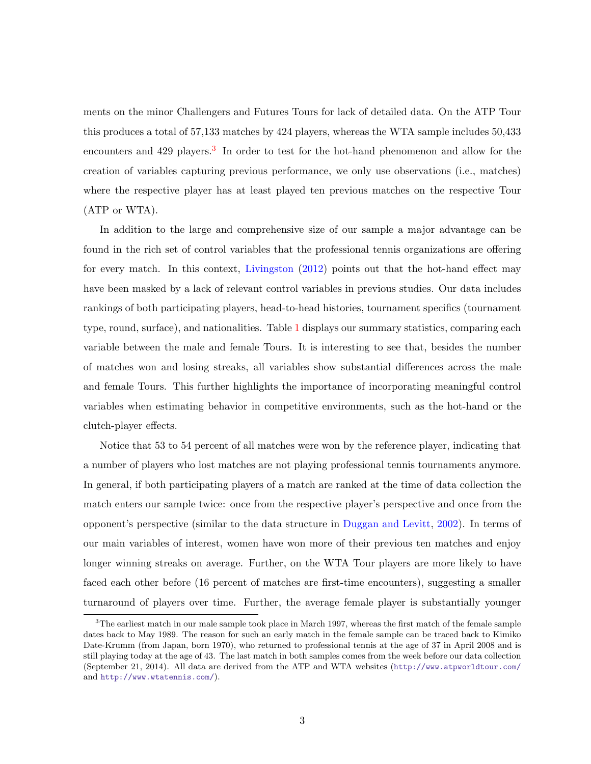ments on the minor Challengers and Futures Tours for lack of detailed data. On the ATP Tour this produces a total of 57,133 matches by 424 players, whereas the WTA sample includes 50,433 encounters and 429 players.<sup>[3](#page-5-0)</sup> In order to test for the hot-hand phenomenon and allow for the creation of variables capturing previous performance, we only use observations (i.e., matches) where the respective player has at least played ten previous matches on the respective Tour (ATP or WTA).

In addition to the large and comprehensive size of our sample a major advantage can be found in the rich set of control variables that the professional tennis organizations are offering for every match. In this context, [Livingston](#page-29-6) [\(2012\)](#page-29-6) points out that the hot-hand effect may have been masked by a lack of relevant control variables in previous studies. Our data includes rankings of both participating players, head-to-head histories, tournament specifics (tournament type, round, surface), and nationalities. Table [1](#page-6-0) displays our summary statistics, comparing each variable between the male and female Tours. It is interesting to see that, besides the number of matches won and losing streaks, all variables show substantial differences across the male and female Tours. This further highlights the importance of incorporating meaningful control variables when estimating behavior in competitive environments, such as the hot-hand or the clutch-player effects.

Notice that 53 to 54 percent of all matches were won by the reference player, indicating that a number of players who lost matches are not playing professional tennis tournaments anymore. In general, if both participating players of a match are ranked at the time of data collection the match enters our sample twice: once from the respective player's perspective and once from the opponent's perspective (similar to the data structure in [Duggan and Levitt,](#page-28-9) [2002\)](#page-28-9). In terms of our main variables of interest, women have won more of their previous ten matches and enjoy longer winning streaks on average. Further, on the WTA Tour players are more likely to have faced each other before (16 percent of matches are first-time encounters), suggesting a smaller turnaround of players over time. Further, the average female player is substantially younger

<span id="page-5-0"></span><sup>&</sup>lt;sup>3</sup>The earliest match in our male sample took place in March 1997, whereas the first match of the female sample dates back to May 1989. The reason for such an early match in the female sample can be traced back to Kimiko Date-Krumm (from Japan, born 1970), who returned to professional tennis at the age of 37 in April 2008 and is still playing today at the age of 43. The last match in both samples comes from the week before our data collection (September 21, 2014). All data are derived from the ATP and WTA websites (<http://www.atpworldtour.com/> and <http://www.wtatennis.com/>).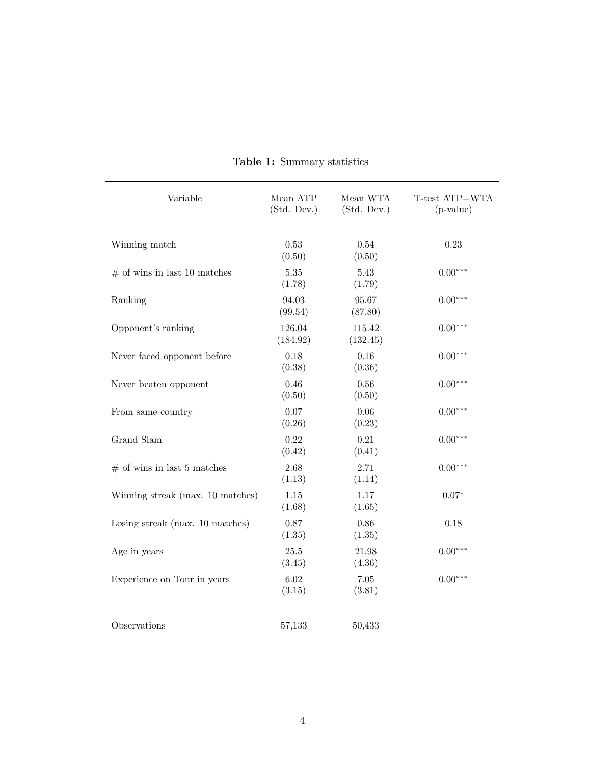<span id="page-6-0"></span>

| Variable                         | Mean ATP<br>(Std. Dev.) | Mean WTA<br>(Std. Dev.) | T-test ATP=WTA<br>$(p-value)$ |
|----------------------------------|-------------------------|-------------------------|-------------------------------|
| Winning match                    | 0.53<br>(0.50)          | $0.54\,$<br>(0.50)      | 0.23                          |
| $\#$ of wins in last 10 matches  | 5.35<br>(1.78)          | 5.43<br>(1.79)          | $0.00***$                     |
| Ranking                          | 94.03<br>(99.54)        | 95.67<br>(87.80)        | $0.00***$                     |
| Opponent's ranking               | 126.04<br>(184.92)      | 115.42<br>(132.45)      | $0.00***$                     |
| Never faced opponent before      | 0.18<br>(0.38)          | $0.16\,$<br>(0.36)      | $0.00***$                     |
| Never beaten opponent            | 0.46<br>(0.50)          | 0.56<br>(0.50)          | $0.00***$                     |
| From same country                | 0.07<br>(0.26)          | 0.06<br>(0.23)          | $0.00***$                     |
| Grand Slam                       | 0.22<br>(0.42)          | 0.21<br>(0.41)          | $0.00***$                     |
| $#$ of wins in last 5 matches    | 2.68<br>(1.13)          | 2.71<br>(1.14)          | $0.00***$                     |
| Winning streak (max. 10 matches) | $1.15\,$<br>(1.68)      | 1.17<br>(1.65)          | $0.07*$                       |
| Losing streak (max. 10 matches)  | 0.87<br>(1.35)          | 0.86<br>(1.35)          | 0.18                          |
| Age in years                     | 25.5<br>(3.45)          | 21.98<br>(4.36)         | $0.00***$                     |
| Experience on Tour in years      | 6.02<br>(3.15)          | $7.05\,$<br>(3.81)      | $0.00***$                     |
| Observations                     | 57,133                  | 50,433                  |                               |

Table 1: Summary statistics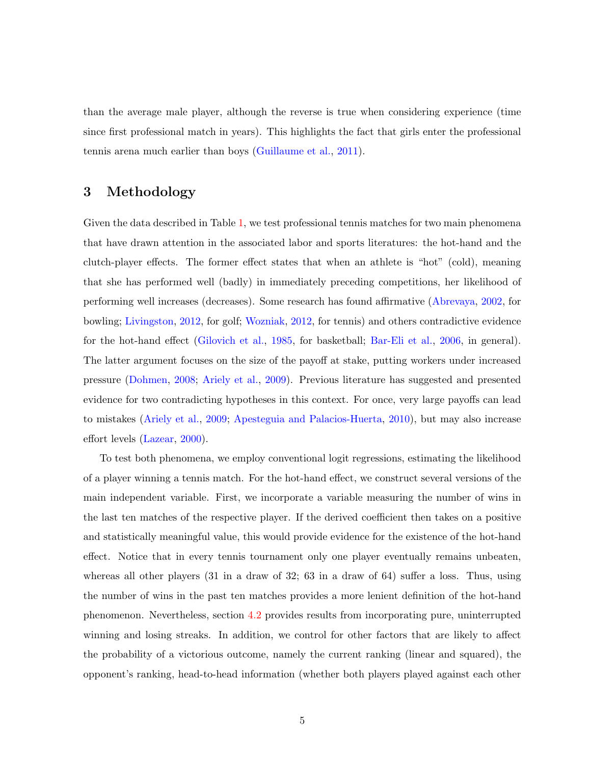than the average male player, although the reverse is true when considering experience (time since first professional match in years). This highlights the fact that girls enter the professional tennis arena much earlier than boys [\(Guillaume et al.,](#page-29-11) [2011\)](#page-29-11).

#### 3 Methodology

Given the data described in Table [1,](#page-6-0) we test professional tennis matches for two main phenomena that have drawn attention in the associated labor and sports literatures: the hot-hand and the clutch-player effects. The former effect states that when an athlete is "hot" (cold), meaning that she has performed well (badly) in immediately preceding competitions, her likelihood of performing well increases (decreases). Some research has found affirmative [\(Abrevaya,](#page-28-7) [2002,](#page-28-7) for bowling; [Livingston,](#page-29-6) [2012,](#page-29-6) for golf; [Wozniak,](#page-29-5) [2012,](#page-29-5) for tennis) and others contradictive evidence for the hot-hand effect [\(Gilovich et al.,](#page-28-6) [1985,](#page-28-6) for basketball; [Bar-Eli et al.,](#page-28-10) [2006,](#page-28-10) in general). The latter argument focuses on the size of the payoff at stake, putting workers under increased pressure [\(Dohmen,](#page-28-11) [2008;](#page-28-11) [Ariely et al.,](#page-28-12) [2009\)](#page-28-12). Previous literature has suggested and presented evidence for two contradicting hypotheses in this context. For once, very large payoffs can lead to mistakes [\(Ariely et al.,](#page-28-12) [2009;](#page-28-12) [Apesteguia and Palacios-Huerta,](#page-28-13) [2010\)](#page-28-13), but may also increase effort levels [\(Lazear,](#page-29-7) [2000\)](#page-29-7).

To test both phenomena, we employ conventional logit regressions, estimating the likelihood of a player winning a tennis match. For the hot-hand effect, we construct several versions of the main independent variable. First, we incorporate a variable measuring the number of wins in the last ten matches of the respective player. If the derived coefficient then takes on a positive and statistically meaningful value, this would provide evidence for the existence of the hot-hand effect. Notice that in every tennis tournament only one player eventually remains unbeaten, whereas all other players (31 in a draw of 32; 63 in a draw of 64) suffer a loss. Thus, using the number of wins in the past ten matches provides a more lenient definition of the hot-hand phenomenon. Nevertheless, section [4.2](#page-12-0) provides results from incorporating pure, uninterrupted winning and losing streaks. In addition, we control for other factors that are likely to affect the probability of a victorious outcome, namely the current ranking (linear and squared), the opponent's ranking, head-to-head information (whether both players played against each other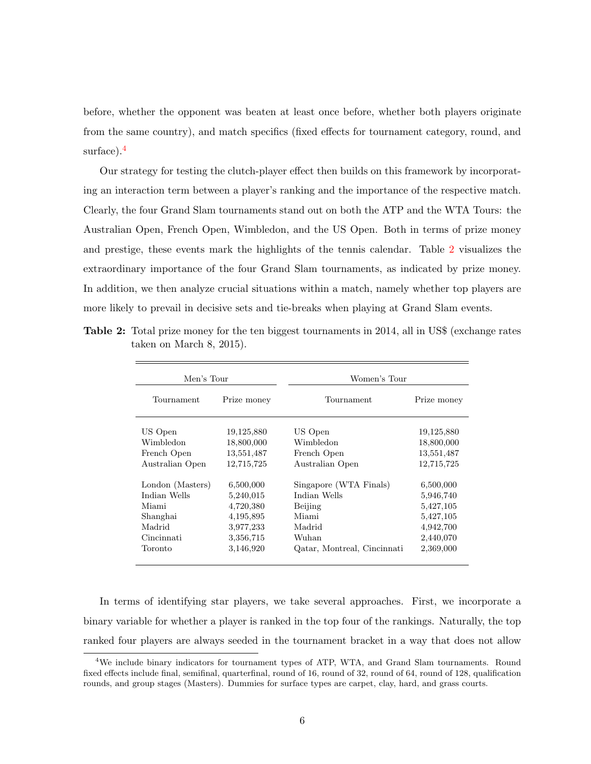before, whether the opponent was beaten at least once before, whether both players originate from the same country), and match specifics (fixed effects for tournament category, round, and surface).<sup>[4](#page-8-0)</sup>

Our strategy for testing the clutch-player effect then builds on this framework by incorporating an interaction term between a player's ranking and the importance of the respective match. Clearly, the four Grand Slam tournaments stand out on both the ATP and the WTA Tours: the Australian Open, French Open, Wimbledon, and the US Open. Both in terms of prize money and prestige, these events mark the highlights of the tennis calendar. Table [2](#page-8-1) visualizes the extraordinary importance of the four Grand Slam tournaments, as indicated by prize money. In addition, we then analyze crucial situations within a match, namely whether top players are more likely to prevail in decisive sets and tie-breaks when playing at Grand Slam events.

<span id="page-8-1"></span>Table 2: Total prize money for the ten biggest tournaments in 2014, all in US\$ (exchange rates taken on March 8, 2015).

 $\equiv$ 

| Men's Tour       |             | Women's Tour                |             |
|------------------|-------------|-----------------------------|-------------|
| Tournament       | Prize money | Tournament                  | Prize money |
| US Open          | 19,125,880  | US Open                     | 19,125,880  |
| Wimbledon        | 18,800,000  | Wimbledon                   | 18,800,000  |
| French Open      | 13,551,487  | French Open                 | 13,551,487  |
| Australian Open  | 12,715,725  | Australian Open             | 12,715,725  |
| London (Masters) | 6,500,000   | Singapore (WTA Finals)      | 6,500,000   |
| Indian Wells     | 5,240,015   | Indian Wells                | 5,946,740   |
| Miami            | 4,720,380   | Beijing                     | 5,427,105   |
| Shanghai         | 4,195,895   | Miami                       | 5,427,105   |
| Madrid           | 3,977,233   | Madrid                      | 4,942,700   |
| Cincinnati       | 3,356,715   | Wuhan                       | 2,440,070   |
| Toronto          | 3,146,920   | Qatar, Montreal, Cincinnati | 2,369,000   |

In terms of identifying star players, we take several approaches. First, we incorporate a binary variable for whether a player is ranked in the top four of the rankings. Naturally, the top ranked four players are always seeded in the tournament bracket in a way that does not allow

<span id="page-8-0"></span><sup>4</sup>We include binary indicators for tournament types of ATP, WTA, and Grand Slam tournaments. Round fixed effects include final, semifinal, quarterfinal, round of 16, round of 32, round of 64, round of 128, qualification rounds, and group stages (Masters). Dummies for surface types are carpet, clay, hard, and grass courts.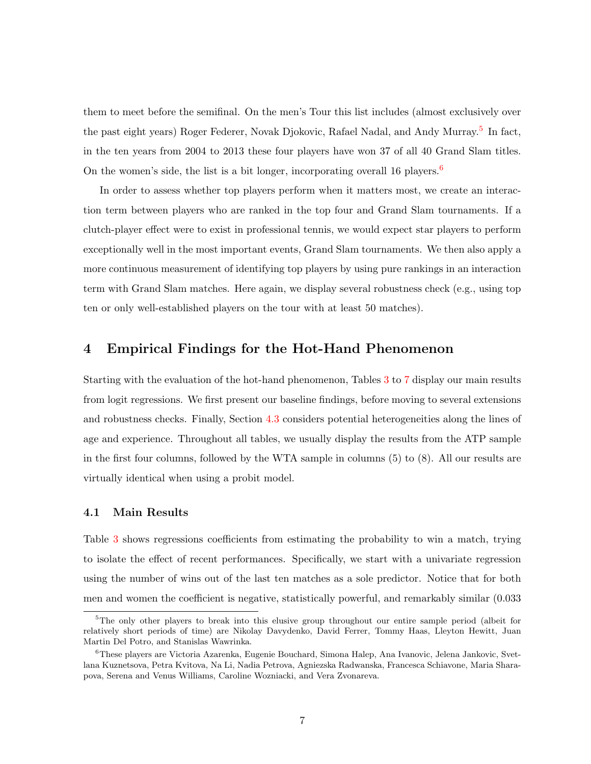them to meet before the semifinal. On the men's Tour this list includes (almost exclusively over the past eight years) Roger Federer, Novak Djokovic, Rafael Nadal, and Andy Murray.<sup>[5](#page-9-0)</sup> In fact, in the ten years from 2004 to 2013 these four players have won 37 of all 40 Grand Slam titles. On the women's side, the list is a bit longer, incorporating overall 1[6](#page-9-1) players.<sup>6</sup>

In order to assess whether top players perform when it matters most, we create an interaction term between players who are ranked in the top four and Grand Slam tournaments. If a clutch-player effect were to exist in professional tennis, we would expect star players to perform exceptionally well in the most important events, Grand Slam tournaments. We then also apply a more continuous measurement of identifying top players by using pure rankings in an interaction term with Grand Slam matches. Here again, we display several robustness check (e.g., using top ten or only well-established players on the tour with at least 50 matches).

#### 4 Empirical Findings for the Hot-Hand Phenomenon

Starting with the evaluation of the hot-hand phenomenon, Tables [3](#page-11-0) to [7](#page-19-0) display our main results from logit regressions. We first present our baseline findings, before moving to several extensions and robustness checks. Finally, Section [4.3](#page-16-0) considers potential heterogeneities along the lines of age and experience. Throughout all tables, we usually display the results from the ATP sample in the first four columns, followed by the WTA sample in columns (5) to (8). All our results are virtually identical when using a probit model.

#### 4.1 Main Results

Table [3](#page-11-0) shows regressions coefficients from estimating the probability to win a match, trying to isolate the effect of recent performances. Specifically, we start with a univariate regression using the number of wins out of the last ten matches as a sole predictor. Notice that for both men and women the coefficient is negative, statistically powerful, and remarkably similar (0.033

<span id="page-9-0"></span><sup>5</sup>The only other players to break into this elusive group throughout our entire sample period (albeit for relatively short periods of time) are Nikolay Davydenko, David Ferrer, Tommy Haas, Lleyton Hewitt, Juan Martin Del Potro, and Stanislas Wawrinka.

<span id="page-9-1"></span><sup>6</sup>These players are Victoria Azarenka, Eugenie Bouchard, Simona Halep, Ana Ivanovic, Jelena Jankovic, Svetlana Kuznetsova, Petra Kvitova, Na Li, Nadia Petrova, Agniezska Radwanska, Francesca Schiavone, Maria Sharapova, Serena and Venus Williams, Caroline Wozniacki, and Vera Zvonareva.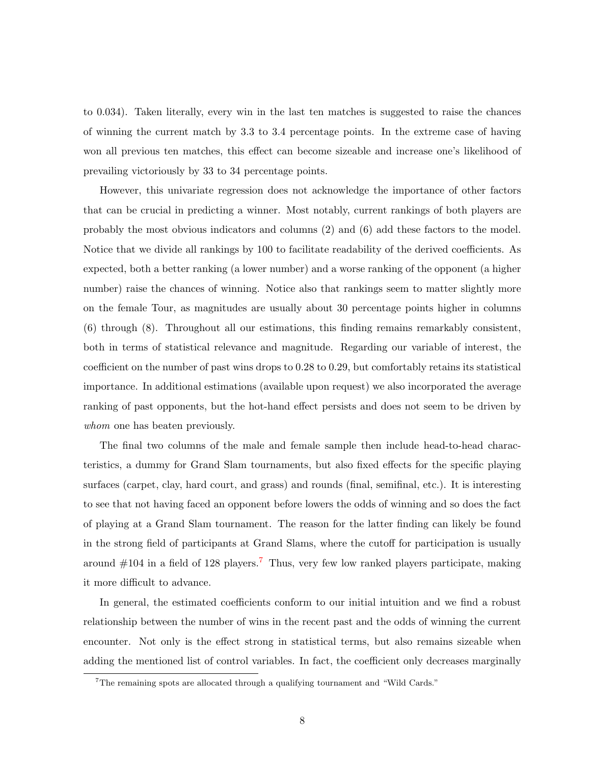to 0.034). Taken literally, every win in the last ten matches is suggested to raise the chances of winning the current match by 3.3 to 3.4 percentage points. In the extreme case of having won all previous ten matches, this effect can become sizeable and increase one's likelihood of prevailing victoriously by 33 to 34 percentage points.

However, this univariate regression does not acknowledge the importance of other factors that can be crucial in predicting a winner. Most notably, current rankings of both players are probably the most obvious indicators and columns (2) and (6) add these factors to the model. Notice that we divide all rankings by 100 to facilitate readability of the derived coefficients. As expected, both a better ranking (a lower number) and a worse ranking of the opponent (a higher number) raise the chances of winning. Notice also that rankings seem to matter slightly more on the female Tour, as magnitudes are usually about 30 percentage points higher in columns (6) through (8). Throughout all our estimations, this finding remains remarkably consistent, both in terms of statistical relevance and magnitude. Regarding our variable of interest, the coefficient on the number of past wins drops to 0.28 to 0.29, but comfortably retains its statistical importance. In additional estimations (available upon request) we also incorporated the average ranking of past opponents, but the hot-hand effect persists and does not seem to be driven by whom one has beaten previously.

The final two columns of the male and female sample then include head-to-head characteristics, a dummy for Grand Slam tournaments, but also fixed effects for the specific playing surfaces (carpet, clay, hard court, and grass) and rounds (final, semifinal, etc.). It is interesting to see that not having faced an opponent before lowers the odds of winning and so does the fact of playing at a Grand Slam tournament. The reason for the latter finding can likely be found in the strong field of participants at Grand Slams, where the cutoff for participation is usually around  $\#104$  in a field of 128 players.<sup>[7](#page-10-0)</sup> Thus, very few low ranked players participate, making it more difficult to advance.

In general, the estimated coefficients conform to our initial intuition and we find a robust relationship between the number of wins in the recent past and the odds of winning the current encounter. Not only is the effect strong in statistical terms, but also remains sizeable when adding the mentioned list of control variables. In fact, the coefficient only decreases marginally

<span id="page-10-0"></span><sup>7</sup>The remaining spots are allocated through a qualifying tournament and "Wild Cards."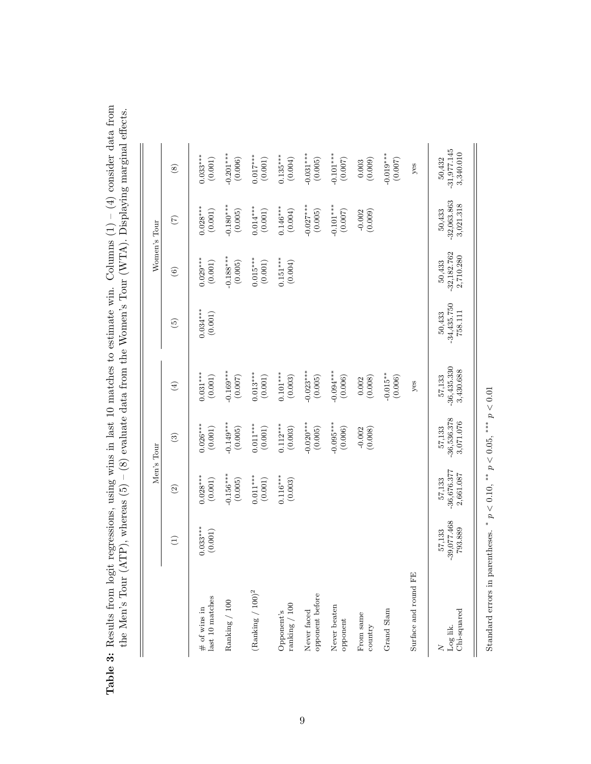|                                      |                                    | Men's Tour                           |                                      |                                      |                                    |                                      | Women's Tour                         |                                      |
|--------------------------------------|------------------------------------|--------------------------------------|--------------------------------------|--------------------------------------|------------------------------------|--------------------------------------|--------------------------------------|--------------------------------------|
|                                      | $\bigoplus$                        | $\odot$                              | $\odot$                              | $\bigoplus$                          | $\widetilde{\Theta}$               | $\odot$                              | $\widetilde{C}$                      | $\circledast$                        |
| last 10 matches<br>$\#$ of wins in   | $0.033***$<br>(0.001)              | $0.028***$<br>(0.001)                | $0.026***$<br>(0.001)                | $0.031***$<br>(0.001)                | $0.034***$<br>(0.001)              | $0.029***$<br>(0.001)                | $0.028***$<br>(0.001)                | $0.033***$<br>(0.001)                |
| Ranking $/100$                       |                                    | $0.156***$<br>(0.005)                | $-0.149***$<br>(0.005)               | $-0.169***$<br>(0.007)               |                                    | $-0.188***$<br>(0.005)               | $0.180***$<br>(0.005)                | $-0.201***$<br>(0.006)               |
| $(\mbox{Ranking}\ /\ 100)^2$         |                                    | $0.011***$<br>(0.001)                | $0.011***$<br>(0.001)                | $0.013***$<br>(0.001)                |                                    | $0.015***$<br>(0.001)                | $0.014***$<br>(0.001)                | $0.017***$<br>(0.001)                |
| $\rm{ranking}$ / $100$<br>Opponent's |                                    | $0.116***$<br>(0.003)                | $0.112***$<br>(0.003)                | $0.101***$<br>(0.003)                |                                    | $0.151***$<br>(0.004)                | $0.146***$<br>(0.004)                | $0.135***$<br>(0.004)                |
| opponent before<br>Never faced       |                                    |                                      | $-0.020***$<br>(0.005)               | $-0.023***$<br>(0.005)               |                                    |                                      | $-0.027***$<br>(0.005)               | $-0.031***$<br>(0.005)               |
| Never beaten<br>opponent             |                                    |                                      | $-0.095***$<br>(0.006)               | $-0.094***$<br>(0.006)               |                                    |                                      | $-0.101***$<br>(0.007)               | $-0.101***$<br>(0.007)               |
| From same<br>country                 |                                    |                                      | (0.008)<br>$-0.002$                  | (0.002)                              |                                    |                                      | (0.009)<br>$-0.002$                  | (0.003)                              |
| Grand Slam                           |                                    |                                      |                                      | $-0.015**$<br>(0.006)                |                                    |                                      |                                      | $-0.019***$<br>(0.007)               |
| Surface and round FE                 |                                    |                                      |                                      | yes                                  |                                    |                                      |                                      | yes                                  |
| Chi-squared<br>Log lik.              | $-39,077.468$<br>793.889<br>57,133 | $-36,676.377$<br>2,661.087<br>57,133 | $-36,536.378$<br>3,071.076<br>57,133 | $-36,435.330$<br>3,430.688<br>57,133 | $-34,435.750$<br>758.111<br>50,433 | $-32,182.762$<br>2,710.280<br>50,433 | $-32,063.863$<br>3,021.318<br>50,433 | $-31,977.145$<br>3,340.010<br>50,432 |

<span id="page-11-0"></span>Table 3: Results from logit regressions, using wins in last 10 matches to estimate win. Columns  $(1) - (4)$  consider data from **Table 3:** Results from logit regressions, using wins in last 10 matches to estimate win. Columns  $(1) - (4)$  consider data from  $(1) - (4)$  consider data from the Men's Tour (ATP), whereas  $(5) - (8)$  evaluate data from the Women's Tour (WTA). Displaying marginal effects. the Men's Tour (ATP), whereas (5) – (8) evaluate data from the Women's Tour (WTA). Displaying marginal effects.

Standard errors in parentheses.  $*$   $p < 0.10$ ,  $*$   $*$   $p < 0.05$ ,  $**$   $p < 0.01$ 

Standard errors in parentheses. \* $p<0.10,$  \*\* $p<0.05,$  \*\*\* $p<0.01$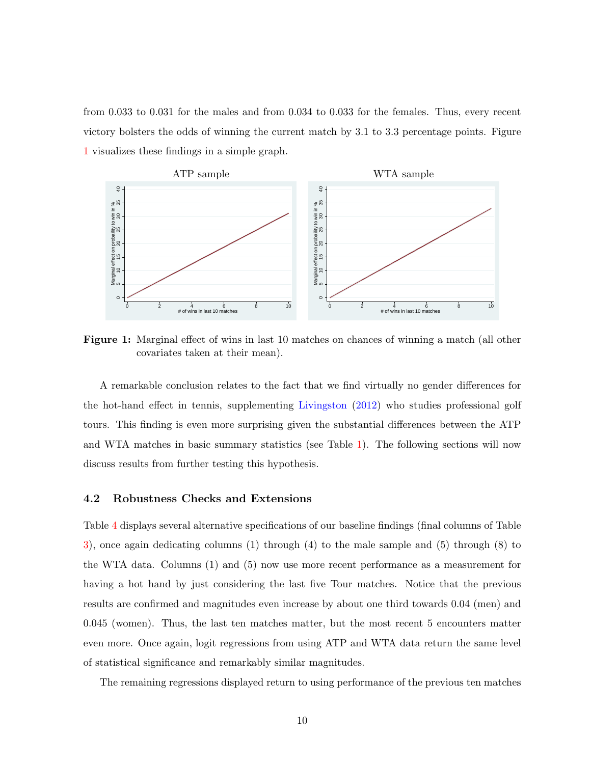from 0.033 to 0.031 for the males and from 0.034 to 0.033 for the females. Thus, every recent victory bolsters the odds of winning the current match by 3.1 to 3.3 percentage points. Figure [1](#page-12-1) visualizes these findings in a simple graph.

<span id="page-12-1"></span>

Figure 1: Marginal effect of wins in last 10 matches on chances of winning a match (all other covariates taken at their mean).

A remarkable conclusion relates to the fact that we find virtually no gender differences for the hot-hand effect in tennis, supplementing [Livingston](#page-29-6) [\(2012\)](#page-29-6) who studies professional golf tours. This finding is even more surprising given the substantial differences between the ATP and WTA matches in basic summary statistics (see Table [1\)](#page-6-0). The following sections will now discuss results from further testing this hypothesis.

#### <span id="page-12-0"></span>4.2 Robustness Checks and Extensions

Table [4](#page-13-0) displays several alternative specifications of our baseline findings (final columns of Table [3\)](#page-11-0), once again dedicating columns (1) through (4) to the male sample and (5) through (8) to the WTA data. Columns (1) and (5) now use more recent performance as a measurement for having a hot hand by just considering the last five Tour matches. Notice that the previous results are confirmed and magnitudes even increase by about one third towards 0.04 (men) and 0.045 (women). Thus, the last ten matches matter, but the most recent 5 encounters matter even more. Once again, logit regressions from using ATP and WTA data return the same level of statistical significance and remarkably similar magnitudes.

The remaining regressions displayed return to using performance of the previous ten matches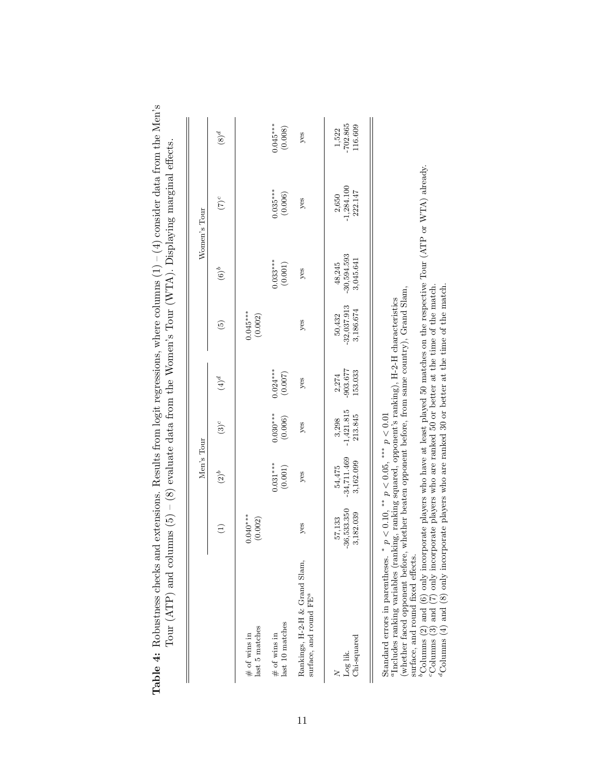<span id="page-13-0"></span>

| extensions. Results from logit regressions, where columns $(1) - (4)$ consider data from the Men's<br>$\text{ms}$ (5) – (8) evaluate data from the Women's Tour (WTA). Displaying marginal effects.<br>$\text{Tour}(\text{ATP})$ and colum<br>Table 4: Robustness checks and |
|------------------------------------------------------------------------------------------------------------------------------------------------------------------------------------------------------------------------------------------------------------------------------|
|------------------------------------------------------------------------------------------------------------------------------------------------------------------------------------------------------------------------------------------------------------------------------|

|                                                                     |                                    | Men's Tour                           |                                       |                                     |                                           |                                      | Women's Tour               |                                      |
|---------------------------------------------------------------------|------------------------------------|--------------------------------------|---------------------------------------|-------------------------------------|-------------------------------------------|--------------------------------------|----------------------------|--------------------------------------|
|                                                                     | $\widehat{\Xi}$                    | $(2)^b$                              | $(3)^c$                               | $^{4(4)}$                           | $\widehat{5}$                             | $(6)^b$                              | $(7)^c$                    | $\varphi(8)$                         |
| last 5 matches<br>$#$ of wins in                                    | $0.040***$<br>(0.002)              |                                      |                                       |                                     | $0.045***$<br>(0.002)                     |                                      |                            |                                      |
| last 10 matches<br>$\#$ of wins in                                  |                                    | $0.031***$<br>(0.001)                | $0.030***$<br>(0.006)                 | $0.024***$<br>(0.007)               |                                           | $0.033***$<br>(0.001)                | $0.035***$                 | $0.045***$<br>(0.008)                |
| Rankings, H-2-H & Grand Slam,<br>surface, and round FE <sup>a</sup> | yes                                | yes                                  | yes                                   | yes                                 | yes                                       | yes                                  | yes                        | yes                                  |
| $Chi$ -squared<br>Log lik.                                          | 57,133<br>-36,533.350<br>3,182.039 | $54,475$<br>-34,711.469<br>3,162.099 | $\frac{3,298}{-1,421.815}$<br>213.845 | $\frac{2,274}{-903.677}$<br>153.033 | $\frac{50,432}{-32,037.913}$<br>3,186.674 | $48,245$<br>-30,594.593<br>3,045.641 | $-1,284.100$<br>$-222.147$ | $\frac{1,522}{702.865}$<br>$116.609$ |

Standard errors in parentheses.  $* p < 0.10$ ,  $** p < 0.05$ ,  $*** p < 0.01$ 

aIncludes ranking variables (ranking, ranking squared, opponent's ranking), H-2-H characteristics (whether faced opponent before, whether beaten opponent before, from same country), Grand Slam,

surface, and round fixed effects.

Standard errors in parentheses. \*  $p < 0.10$ , \*\*  $p < 0.05$ , \*\*\*  $p < 0.01$ <br><sup>a</sup>Includes ranking variables (ranking, ranking squared, opponent's ranking), H-2-H characteristics<br>(whether faced opponent before, whether beaten o  $b_{\text{Columns}}(2)$  and (6) only incorporate players who have at least played 50 matches on the respective Tour (ATP or WTA) already.

cColumns (3) and (7) only incorporate players who are ranked 50 or better at the time of the match.

<sup>d</sup>Columns (4) and (8) only incorporate players who are ranked 30 or better at the time of the match.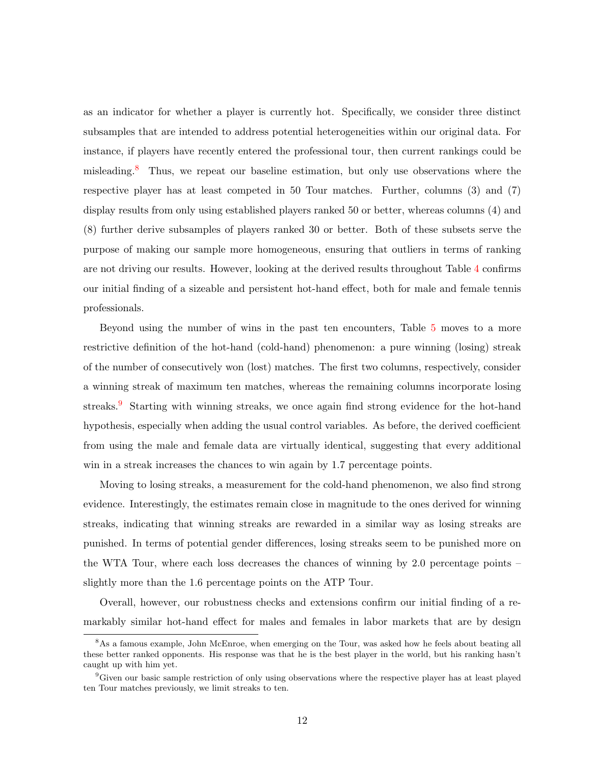as an indicator for whether a player is currently hot. Specifically, we consider three distinct subsamples that are intended to address potential heterogeneities within our original data. For instance, if players have recently entered the professional tour, then current rankings could be misleading.[8](#page-14-0) Thus, we repeat our baseline estimation, but only use observations where the respective player has at least competed in 50 Tour matches. Further, columns (3) and (7) display results from only using established players ranked 50 or better, whereas columns (4) and (8) further derive subsamples of players ranked 30 or better. Both of these subsets serve the purpose of making our sample more homogeneous, ensuring that outliers in terms of ranking are not driving our results. However, looking at the derived results throughout Table [4](#page-13-0) confirms our initial finding of a sizeable and persistent hot-hand effect, both for male and female tennis professionals.

Beyond using the number of wins in the past ten encounters, Table [5](#page-15-0) moves to a more restrictive definition of the hot-hand (cold-hand) phenomenon: a pure winning (losing) streak of the number of consecutively won (lost) matches. The first two columns, respectively, consider a winning streak of maximum ten matches, whereas the remaining columns incorporate losing streaks.<sup>[9](#page-14-1)</sup> Starting with winning streaks, we once again find strong evidence for the hot-hand hypothesis, especially when adding the usual control variables. As before, the derived coefficient from using the male and female data are virtually identical, suggesting that every additional win in a streak increases the chances to win again by 1.7 percentage points.

Moving to losing streaks, a measurement for the cold-hand phenomenon, we also find strong evidence. Interestingly, the estimates remain close in magnitude to the ones derived for winning streaks, indicating that winning streaks are rewarded in a similar way as losing streaks are punished. In terms of potential gender differences, losing streaks seem to be punished more on the WTA Tour, where each loss decreases the chances of winning by 2.0 percentage points – slightly more than the 1.6 percentage points on the ATP Tour.

Overall, however, our robustness checks and extensions confirm our initial finding of a remarkably similar hot-hand effect for males and females in labor markets that are by design

<span id="page-14-0"></span><sup>&</sup>lt;sup>8</sup>As a famous example, John McEnroe, when emerging on the Tour, was asked how he feels about beating all these better ranked opponents. His response was that he is the best player in the world, but his ranking hasn't caught up with him yet.

<span id="page-14-1"></span><sup>9</sup>Given our basic sample restriction of only using observations where the respective player has at least played ten Tour matches previously, we limit streaks to ten.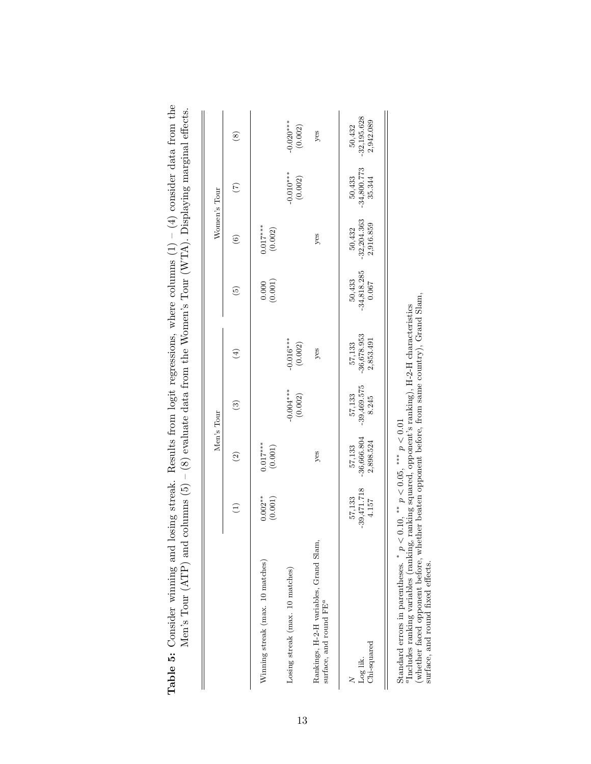|                                                                              |                                                     | Men's Tour                           |                                  |                                                                                                                                                                                                                                                                                                                     |                                  | Women's Tour                         |                                   |                                      |
|------------------------------------------------------------------------------|-----------------------------------------------------|--------------------------------------|----------------------------------|---------------------------------------------------------------------------------------------------------------------------------------------------------------------------------------------------------------------------------------------------------------------------------------------------------------------|----------------------------------|--------------------------------------|-----------------------------------|--------------------------------------|
|                                                                              | $\left( \begin{matrix} 1 \end{matrix} \right)$      | $\widehat{\mathfrak{D}}$             | $\widehat{\mathbf{e}}$           | $\left( 4\right)$                                                                                                                                                                                                                                                                                                   | $\widetilde{5}$                  | $\odot$                              | $\widetilde{C}$                   | $\circledast$                        |
| Winning streak (max. 10 matches)                                             | $0.002**$<br>(0.001)                                | $0.017***$<br>(0.001)                |                                  |                                                                                                                                                                                                                                                                                                                     | (0.000)                          | $0.017***$<br>$\left(0.002\right)$   |                                   |                                      |
| Losing streak (max. 10 matches)                                              |                                                     |                                      | $-0.004***$<br>(0.002)           | $-0.016***$<br>(0.002)                                                                                                                                                                                                                                                                                              |                                  |                                      | $-0.010***$<br>(0.002)            | $-0.020***$<br>(0.002)               |
| Rankings, H-2-H variables, Grand Slam,<br>surface, and round FE <sup>a</sup> |                                                     | yes                                  |                                  | yes                                                                                                                                                                                                                                                                                                                 |                                  | yes                                  |                                   | $y$ es                               |
| Log lik.<br>Chi-squared                                                      | $-39,471.718$<br>$4.157$<br>57,133                  | $-36,666.804$<br>2,898.524<br>57,133 | $-39,469.575$<br>8.245<br>57,133 | $-36,678.953$<br>2,853.491<br>57,133                                                                                                                                                                                                                                                                                | $-34,818.285$<br>0.067<br>50,433 | $-32,204.363$<br>2,916.859<br>50,432 | $-34,800.773$<br>35.344<br>50,433 | $-32,195.628$<br>2,942.089<br>50,432 |
| $\sim d$<br>$Standard errors in parentheses.$                                | $< 0.10, \frac{**}{p} < 0.05, \frac{***}{p} < 0.01$ |                                      |                                  | $\frac{1}{2}$ $\frac{1}{2}$ $\frac{1}{2}$ $\frac{1}{2}$ $\frac{1}{2}$ $\frac{1}{2}$ $\frac{1}{2}$ $\frac{1}{2}$ $\frac{1}{2}$ $\frac{1}{2}$ $\frac{1}{2}$ $\frac{1}{2}$ $\frac{1}{2}$ $\frac{1}{2}$ $\frac{1}{2}$ $\frac{1}{2}$ $\frac{1}{2}$ $\frac{1}{2}$ $\frac{1}{2}$ $\frac{1}{2}$ $\frac{1}{2}$ $\frac{1}{2}$ |                                  |                                      |                                   |                                      |

<span id="page-15-0"></span>

| $\frac{1}{2}$<br>i<br>Si<br>$\overline{a}$<br>-<br>-<br>-<br>-<br>$\overline{\phantom{a}}$            | ة<br>أ<br>こくにさくりく<br>I<br>r territor con                                                                                                                                                                               |
|-------------------------------------------------------------------------------------------------------|------------------------------------------------------------------------------------------------------------------------------------------------------------------------------------------------------------------------|
| $\sim (1) - 1.4$<br>َ<br>م<br>adional trubbe<br>こうきょう<br>COLUMN INTERNATIONAL INTERNATIONAL<br>$-2.1$ | (1)<br>. The set of $\mathcal{A}$ is $\mathcal{A}$ is a set of $\mathcal{A}$<br>- 15<br>- 15<br>- 1<br>l<br>Ī<br>$\sim$<br>;<br>;<br> <br> <br> <br>www.nether.com<br>$\frac{1}{2}$<br>$\overline{a}$<br>$\frac{8}{1}$ |
| osing strea.<br>)<br>l<br>)<br>$\overline{1}$<br>i<br>-<br>2<br>2<br>j                                | j<br>Ì<br>$\frac{1}{2}$<br>22 PH 72 PH<br>ĺ<br>l<br> <br> <br>                                                                                                                                                         |

(whether faced opponent before, whether beaten opponent before, from same country), Grand Slam,

surface, and round fixed effects.

<sup>&</sup>lt;sup>*a*</sup>Includes ranking variables (ranking, ranking squared, opponent's ranking),  $H-2-H$  characteristics (whether faced opponent before, whether beaten opponent before, from same country), Grand Slam, surface, and round fix aIncludes ranking variables (ranking, ranking squared, opponent's ranking), H-2-H characteristics Standard errors in parentheses.  $* p < 0.10$ ,  $** p < 0.05$ ,  $** p < 0.01$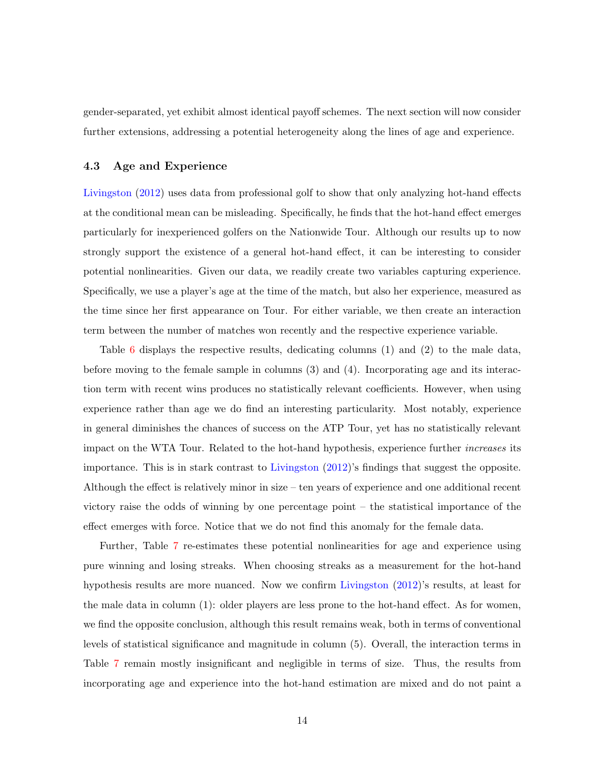gender-separated, yet exhibit almost identical payoff schemes. The next section will now consider further extensions, addressing a potential heterogeneity along the lines of age and experience.

#### <span id="page-16-0"></span>4.3 Age and Experience

[Livingston](#page-29-6) [\(2012\)](#page-29-6) uses data from professional golf to show that only analyzing hot-hand effects at the conditional mean can be misleading. Specifically, he finds that the hot-hand effect emerges particularly for inexperienced golfers on the Nationwide Tour. Although our results up to now strongly support the existence of a general hot-hand effect, it can be interesting to consider potential nonlinearities. Given our data, we readily create two variables capturing experience. Specifically, we use a player's age at the time of the match, but also her experience, measured as the time since her first appearance on Tour. For either variable, we then create an interaction term between the number of matches won recently and the respective experience variable.

Table [6](#page-17-0) displays the respective results, dedicating columns (1) and (2) to the male data, before moving to the female sample in columns (3) and (4). Incorporating age and its interaction term with recent wins produces no statistically relevant coefficients. However, when using experience rather than age we do find an interesting particularity. Most notably, experience in general diminishes the chances of success on the ATP Tour, yet has no statistically relevant impact on the WTA Tour. Related to the hot-hand hypothesis, experience further increases its importance. This is in stark contrast to [Livingston](#page-29-6) [\(2012\)](#page-29-6)'s findings that suggest the opposite. Although the effect is relatively minor in size – ten years of experience and one additional recent victory raise the odds of winning by one percentage point – the statistical importance of the effect emerges with force. Notice that we do not find this anomaly for the female data.

Further, Table [7](#page-19-0) re-estimates these potential nonlinearities for age and experience using pure winning and losing streaks. When choosing streaks as a measurement for the hot-hand hypothesis results are more nuanced. Now we confirm [Livingston](#page-29-6) [\(2012\)](#page-29-6)'s results, at least for the male data in column (1): older players are less prone to the hot-hand effect. As for women, we find the opposite conclusion, although this result remains weak, both in terms of conventional levels of statistical significance and magnitude in column (5). Overall, the interaction terms in Table [7](#page-19-0) remain mostly insignificant and negligible in terms of size. Thus, the results from incorporating age and experience into the hot-hand estimation are mixed and do not paint a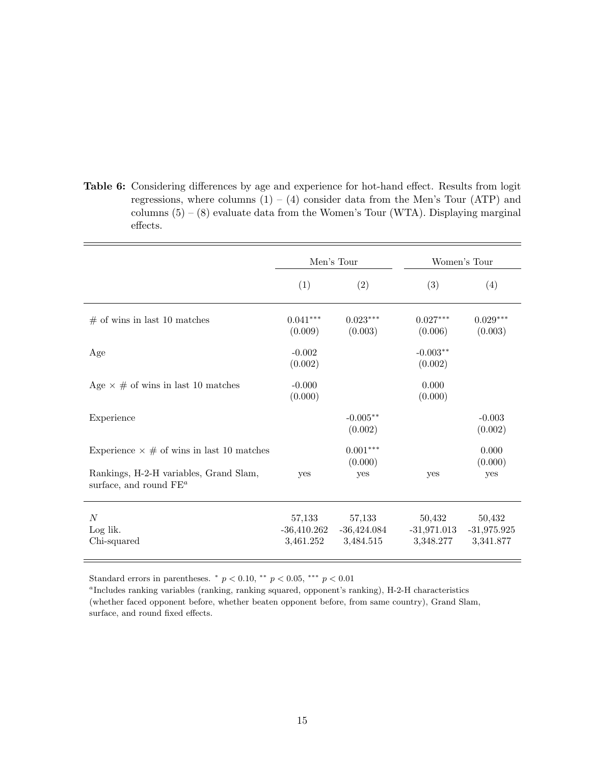<span id="page-17-0"></span>Table 6: Considering differences by age and experience for hot-hand effect. Results from logit regressions, where columns  $(1) - (4)$  consider data from the Men's Tour (ATP) and columns  $(5) - (8)$  evaluate data from the Women's Tour (WTA). Displaying marginal effects.

|                                                                     | Men's Tour                           |                                      |                                      | Women's Tour                         |
|---------------------------------------------------------------------|--------------------------------------|--------------------------------------|--------------------------------------|--------------------------------------|
|                                                                     | (1)                                  | (2)                                  | (3)                                  | (4)                                  |
| $#$ of wins in last 10 matches                                      | $0.041***$<br>(0.009)                | $0.023***$<br>(0.003)                | $0.027***$<br>(0.006)                | $0.029***$<br>(0.003)                |
| Age                                                                 | $-0.002$<br>(0.002)                  |                                      | $-0.003**$<br>(0.002)                |                                      |
| Age $\times \#$ of wins in last 10 matches                          | $-0.000$<br>(0.000)                  |                                      | 0.000<br>(0.000)                     |                                      |
| Experience                                                          |                                      | $-0.005**$<br>(0.002)                |                                      | $-0.003$<br>(0.002)                  |
| Experience $\times \#$ of wins in last 10 matches                   |                                      | $0.001***$<br>(0.000)                |                                      | 0.000<br>(0.000)                     |
| Rankings, H-2-H variables, Grand Slam,<br>surface, and round $FE^a$ | yes                                  | yes                                  | yes                                  | yes                                  |
| N<br>Log lik.<br>Chi-squared                                        | 57,133<br>$-36,410.262$<br>3,461.252 | 57,133<br>$-36,424.084$<br>3,484.515 | 50,432<br>$-31,971.013$<br>3,348.277 | 50,432<br>$-31,975.925$<br>3,341.877 |

Standard errors in parentheses.  $*$   $p < 0.10$ ,  $**$   $p < 0.05$ ,  $**$   $p < 0.01$ 

a Includes ranking variables (ranking, ranking squared, opponent's ranking), H-2-H characteristics (whether faced opponent before, whether beaten opponent before, from same country), Grand Slam, surface, and round fixed effects.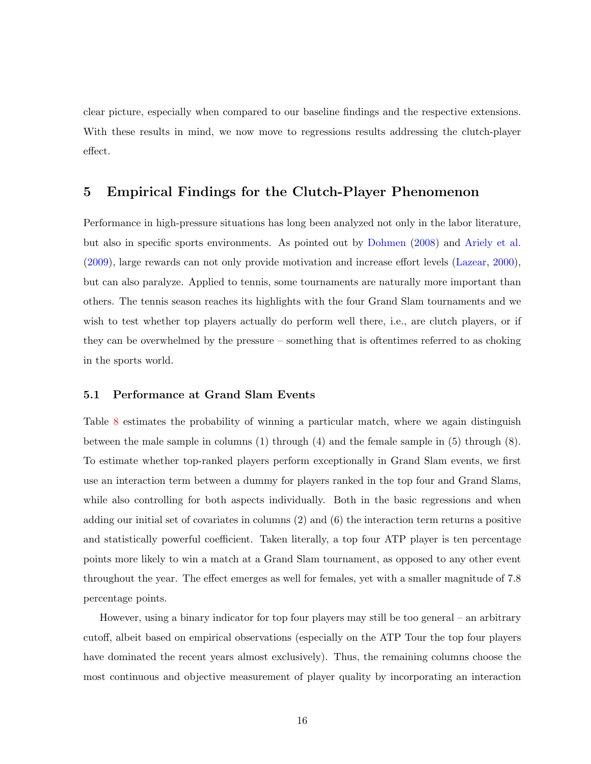clear picture, especially when compared to our baseline findings and the respective extensions. With these results in mind, we now move to regressions results addressing the clutch-player effect.

#### 5 Empirical Findings for the Clutch-Player Phenomenon

Performance in high-pressure situations has long been analyzed not only in the labor literature, but also in specific sports environments. As pointed out by [Dohmen](#page-28-11) [\(2008\)](#page-28-11) and [Ariely et al.](#page-28-12) [\(2009\)](#page-28-12), large rewards can not only provide motivation and increase effort levels [\(Lazear,](#page-29-7) [2000\)](#page-29-7), but can also paralyze. Applied to tennis, some tournaments are naturally more important than others. The tennis season reaches its highlights with the four Grand Slam tournaments and we wish to test whether top players actually do perform well there, i.e., are clutch players, or if they can be overwhelmed by the pressure – something that is oftentimes referred to as choking in the sports world.

#### 5.1 Performance at Grand Slam Events

Table [8](#page-20-0) estimates the probability of winning a particular match, where we again distinguish between the male sample in columns (1) through (4) and the female sample in (5) through (8). To estimate whether top-ranked players perform exceptionally in Grand Slam events, we first use an interaction term between a dummy for players ranked in the top four and Grand Slams, while also controlling for both aspects individually. Both in the basic regressions and when adding our initial set of covariates in columns (2) and (6) the interaction term returns a positive and statistically powerful coefficient. Taken literally, a top four ATP player is ten percentage points more likely to win a match at a Grand Slam tournament, as opposed to any other event throughout the year. The effect emerges as well for females, yet with a smaller magnitude of 7.8 percentage points.

However, using a binary indicator for top four players may still be too general – an arbitrary cutoff, albeit based on empirical observations (especially on the ATP Tour the top four players have dominated the recent years almost exclusively). Thus, the remaining columns choose the most continuous and objective measurement of player quality by incorporating an interaction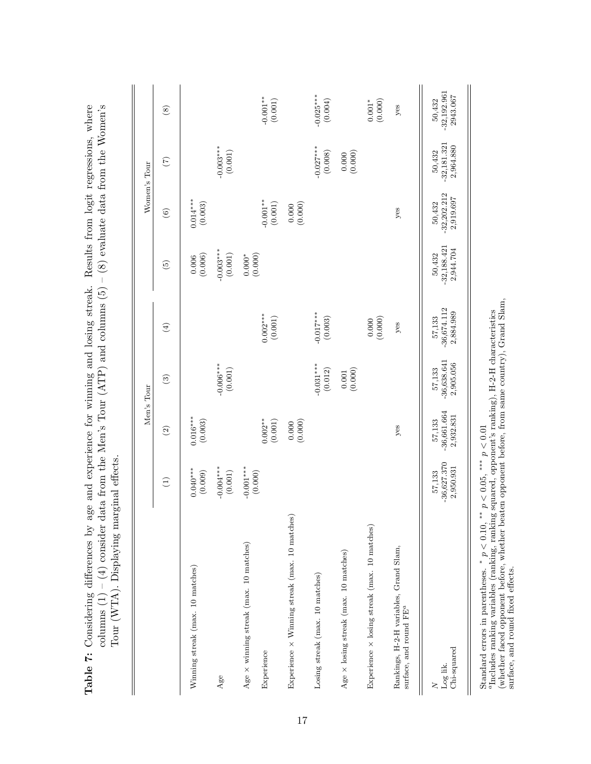|                                                                                  |                                      |                                      | Men's Tour                           |                                      |                                      |                                      | Women's Tour                         |                                                   |
|----------------------------------------------------------------------------------|--------------------------------------|--------------------------------------|--------------------------------------|--------------------------------------|--------------------------------------|--------------------------------------|--------------------------------------|---------------------------------------------------|
|                                                                                  | $\widehat{\Xi}$                      | $\odot$                              | $\widehat{S}$                        | $\bigoplus$                          | $\widetilde{5}$                      | $\odot$                              | $\widetilde{C}$                      | $\circled{s}$                                     |
| Winning streak (max. 10 matches)                                                 | $0.040***$<br>(0.009)                | $0.016***$<br>(0.003)                |                                      |                                      | (0.006)<br>0.006                     | $0.014***$<br>(0.003)                |                                      |                                                   |
| Age                                                                              | $-0.004***$<br>$\left( 0.001\right)$ |                                      | $-0.006***$<br>(0.001)               |                                      | $-0.003***$<br>$\left( 0.001\right)$ |                                      | $-0.003***$<br>$\left( 0.001\right)$ |                                                   |
| Age $\times$ winning streak (max. 10 matches)                                    | $-0.001***$<br>(0.000)               |                                      |                                      |                                      | (0.000)<br>$0.000^*$                 |                                      |                                      |                                                   |
| Experience                                                                       |                                      | $0.002**$<br>$\left( 0.001\right)$   |                                      | $0.002***$<br>(0.001)                |                                      | $-0.001**$<br>$\left(0.001\right)$   |                                      | $-0.001**$<br>(0.001)                             |
| Experience × Winning streak (max. 10 matches)                                    |                                      | (0.000)                              |                                      |                                      |                                      | (0.000)                              |                                      |                                                   |
| Losing streak (max. 10 matches)                                                  |                                      |                                      | $-0.031***$<br>(0.012)               | $-0.017***$<br>(0.003)               |                                      |                                      | $-0.027***$<br>(0.008)               | $-0.025***$<br>(0.004)                            |
| Age $\times$ losing streak (max. 10 matches)                                     |                                      |                                      | (0.000)<br>$\!0.001\!$               |                                      |                                      |                                      | (0.000)<br>0.000                     |                                                   |
| Experience $\times$ losing streak (max. 10 matches)                              |                                      |                                      |                                      | (0.000)                              |                                      |                                      |                                      | $\begin{array}{c} 0.001^* \\ (0.000) \end{array}$ |
| Rankings, H-2-H variables, Grand Slam,<br>surface, and round ${\rm F} {\rm E}^a$ |                                      | $y$ es                               |                                      | $y$ es                               |                                      | yes                                  |                                      | yes                                               |
| Chi-squared<br>Log lik.<br>$\geq$                                                | $-36,627.370$<br>2,950.931<br>57,133 | $-36,661.664$<br>2,932.831<br>57,133 | $-36,638.641$<br>2,905.056<br>57,133 | $-36,674.112$<br>2,884.989<br>57,133 | $-32,188.421$<br>2,944.704<br>50,432 | $-32,202.212$<br>2,919.697<br>50,432 | $-32,181.321$<br>2,964.880<br>50,432 | $-32,192.961$<br>2943.067<br>50,432               |
|                                                                                  |                                      |                                      |                                      |                                      |                                      |                                      |                                      |                                                   |

<span id="page-19-0"></span>Table 7: Considering differences by age and experience for winning and losing streak. Results from logit regressions, where Table 7: Considering differences by age and experience for winning and losing streak. Results from logit regressions, where

Standard errors in parentheses.  ${}^{*}p < 0.10, {}^{**}p < 0.05, {}^{***}p < 0.01$ 

surface, and round fixed effects.

a Includes ranking variables (ranking, ranking squared, opponent's ranking), H-2-H characteristics (whether faced opponent before, whether beaten opponent before, from same country), Grand Slam,

Standard errors in parentheses. \*  $p < 0.10$ , \*\*  $p < 0.05$ , \*\*\*  $p < 0.01$ <br><sup>a</sup>Includes ranking variables (ranking, ranking squared, opponent's ranking), H-2-H characteristics<br>(whether faced opponent before, whether beaten o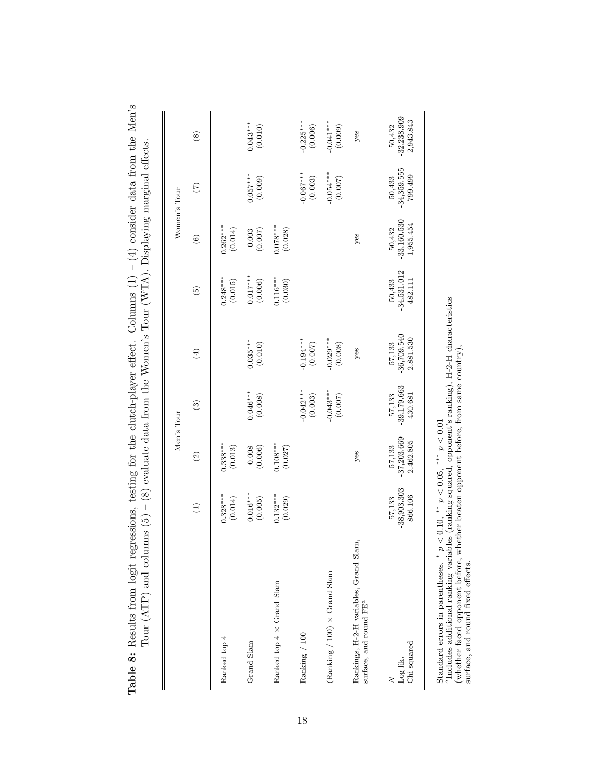|                                                                                                                                                                                                                                                                                                                  |                                    | Men's Tour                           |                                    |                                      |                                    | Women's Tour                         |                                    |                                      |
|------------------------------------------------------------------------------------------------------------------------------------------------------------------------------------------------------------------------------------------------------------------------------------------------------------------|------------------------------------|--------------------------------------|------------------------------------|--------------------------------------|------------------------------------|--------------------------------------|------------------------------------|--------------------------------------|
|                                                                                                                                                                                                                                                                                                                  | $\bigoplus$                        | $\widehat{\Omega}$                   | $\odot$                            | $\textcircled{\scriptsize{4}}$       | $\widetilde{\omega}$               | $\odot$                              | $\mathfrak{S}$                     | $\circled{s}$                        |
| Ranked top 4                                                                                                                                                                                                                                                                                                     | $0.328***$<br>(0.014)              | $0.338***$<br>(0.013)                |                                    |                                      | $0.248***$<br>(0.015)              | $0.262***$<br>(0.014)                |                                    |                                      |
| Grand Slam                                                                                                                                                                                                                                                                                                       | $-0.016***$<br>(0.005)             | $-0.008$<br>(0.006)                  | $0.046***$<br>(0.008)              | $0.035***$<br>(0.010)                | $-0.017***$<br>(0.006)             | $-0.003$<br>(0.007)                  | $0.057***$<br>(0.009)              | $0.043***$<br>(0.010)                |
| Ranked top $4 \times$ Grand Slam                                                                                                                                                                                                                                                                                 | $0.132***$<br>(0.029)              | $0.108***$<br>(0.027)                |                                    |                                      | $0.116***$<br>(0.030)              | $0.078***$<br>(0.028)                |                                    |                                      |
| Ranking / 100                                                                                                                                                                                                                                                                                                    |                                    |                                      | $-0.042***$<br>(0.003)             | $-0.194***$<br>$(0.007)$             |                                    |                                      | $-0.067***$<br>(0.003)             | $-0.225***$<br>(0.006)               |
| (Ranking $/ 100$ ) $\times$ Grand Slam                                                                                                                                                                                                                                                                           |                                    |                                      | $-0.043***$<br>(0.007)             | $-0.029***$<br>(0.008)               |                                    |                                      | $-0.054***$<br>(0.007)             | $-0.041***$<br>(0.009)               |
| Rankings, H-2-H variables, Grand Slam,<br>surface, and round FE <sup>c</sup>                                                                                                                                                                                                                                     |                                    | yes                                  |                                    | $y$ es                               |                                    | yes                                  |                                    | yes                                  |
| Chi-squared<br>Log lik.                                                                                                                                                                                                                                                                                          | $-38,903.303$<br>866.106<br>57,133 | $-37,203.669$<br>2,462.805<br>57,133 | $-39,179.663$<br>430.681<br>57,133 | $-36,709.540$<br>2,881.530<br>57,133 | $-34,531.012$<br>482.111<br>50,433 | $-33,160.530$<br>1,955.454<br>50,432 | $50,433$<br>-34,359.555<br>799.499 | $-32,238.909$<br>2,943.843<br>50,432 |
| "Includes additional ranking variables (ranking squared, opponent's ranking), H-2-H characteristics<br>(whether faced opponent before, whether beaten opponent before, from same country),<br>Standard errors in parentheses. * $p < 0.10$ , ** $p < 0.05$ , *** $p < 0.01$<br>surface, and round fixed effects. |                                    |                                      |                                    |                                      |                                    |                                      |                                    |                                      |

<span id="page-20-0"></span> $\overline{a}$ Table 8: Results from logit regressions, testing for the clutch-player effect. Columns (1) – (4) consider data from the Men's H

18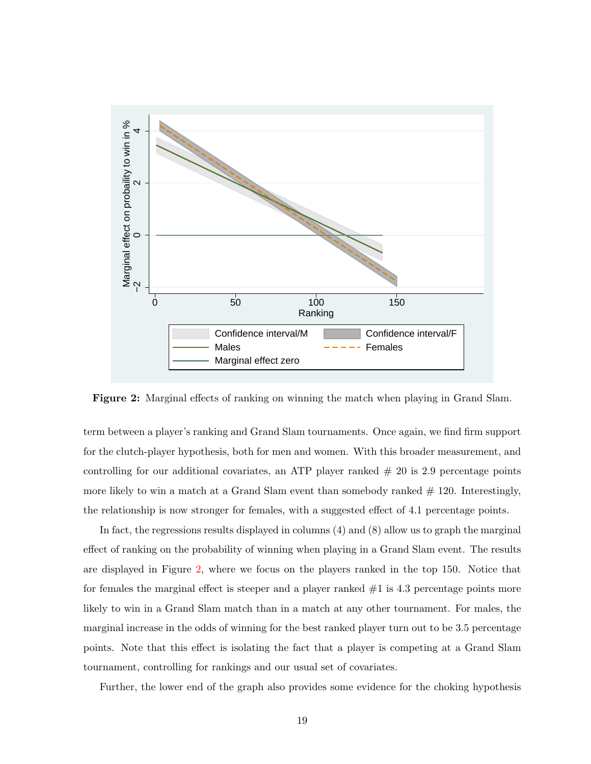<span id="page-21-0"></span>

Figure 2: Marginal effects of ranking on winning the match when playing in Grand Slam.

term between a player's ranking and Grand Slam tournaments. Once again, we find firm support for the clutch-player hypothesis, both for men and women. With this broader measurement, and controlling for our additional covariates, an ATP player ranked  $#20$  is 2.9 percentage points more likely to win a match at a Grand Slam event than somebody ranked  $\#$  120. Interestingly, the relationship is now stronger for females, with a suggested effect of 4.1 percentage points.

In fact, the regressions results displayed in columns (4) and (8) allow us to graph the marginal effect of ranking on the probability of winning when playing in a Grand Slam event. The results are displayed in Figure [2,](#page-21-0) where we focus on the players ranked in the top 150. Notice that for females the marginal effect is steeper and a player ranked  $#1$  is 4.3 percentage points more likely to win in a Grand Slam match than in a match at any other tournament. For males, the marginal increase in the odds of winning for the best ranked player turn out to be 3.5 percentage points. Note that this effect is isolating the fact that a player is competing at a Grand Slam tournament, controlling for rankings and our usual set of covariates.

Further, the lower end of the graph also provides some evidence for the choking hypothesis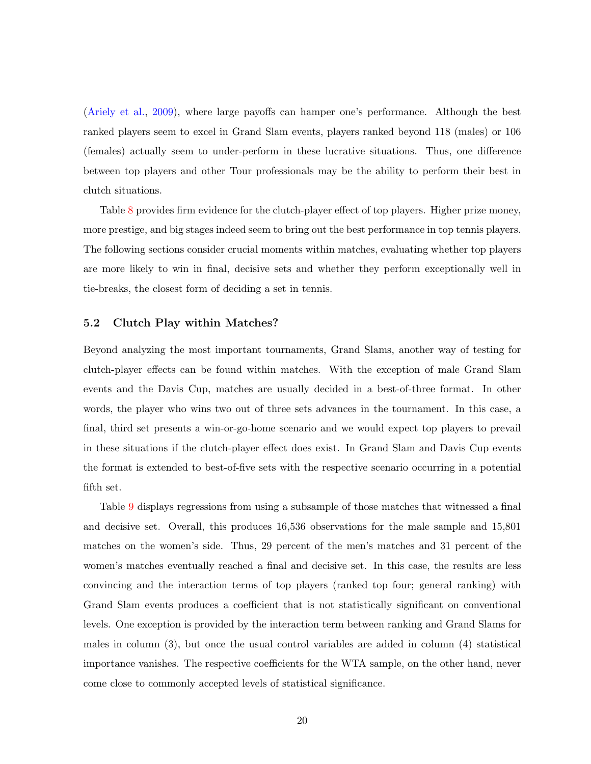[\(Ariely et al.,](#page-28-12) [2009\)](#page-28-12), where large payoffs can hamper one's performance. Although the best ranked players seem to excel in Grand Slam events, players ranked beyond 118 (males) or 106 (females) actually seem to under-perform in these lucrative situations. Thus, one difference between top players and other Tour professionals may be the ability to perform their best in clutch situations.

Table [8](#page-20-0) provides firm evidence for the clutch-player effect of top players. Higher prize money, more prestige, and big stages indeed seem to bring out the best performance in top tennis players. The following sections consider crucial moments within matches, evaluating whether top players are more likely to win in final, decisive sets and whether they perform exceptionally well in tie-breaks, the closest form of deciding a set in tennis.

#### 5.2 Clutch Play within Matches?

Beyond analyzing the most important tournaments, Grand Slams, another way of testing for clutch-player effects can be found within matches. With the exception of male Grand Slam events and the Davis Cup, matches are usually decided in a best-of-three format. In other words, the player who wins two out of three sets advances in the tournament. In this case, a final, third set presents a win-or-go-home scenario and we would expect top players to prevail in these situations if the clutch-player effect does exist. In Grand Slam and Davis Cup events the format is extended to best-of-five sets with the respective scenario occurring in a potential fifth set.

Table [9](#page-23-0) displays regressions from using a subsample of those matches that witnessed a final and decisive set. Overall, this produces 16,536 observations for the male sample and 15,801 matches on the women's side. Thus, 29 percent of the men's matches and 31 percent of the women's matches eventually reached a final and decisive set. In this case, the results are less convincing and the interaction terms of top players (ranked top four; general ranking) with Grand Slam events produces a coefficient that is not statistically significant on conventional levels. One exception is provided by the interaction term between ranking and Grand Slams for males in column (3), but once the usual control variables are added in column (4) statistical importance vanishes. The respective coefficients for the WTA sample, on the other hand, never come close to commonly accepted levels of statistical significance.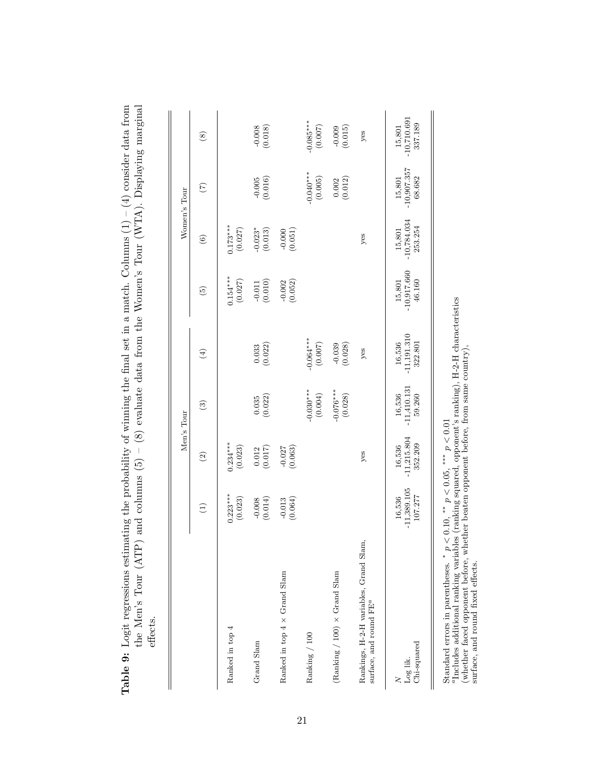| $15,801$<br>-10,710.691<br>$-0.085***$<br>337.189<br>(0.007)<br>(0.018)<br>(0.015)<br>yes<br>$\circledast$<br>$-10,907.357$<br>$-0.040***$<br>$-0.005$<br>(0.016)<br>68.682<br>(0.005)<br>$\begin{array}{c} 0.002 \\ (0.012) \end{array}$<br>15,801<br>$\widehat{C}$<br>$15,801$<br>-10,784.034<br>$0.173***$<br>253.254<br>(0.027)<br>$-0.023*$<br>(0.013)<br>$-0.000$<br>(0.051)<br>yes<br>$\circledcirc$<br>$-10,917.660$<br>$0.154***$<br>(0.027)<br>46.160<br>$-0.002$<br>(0.052)<br>(0.010)<br>15,801<br>$\widetilde{5}$<br>$-11,191.310$<br>$-0.064***$<br>322.801<br>16,536<br>$\binom{0.033}{0.022}$<br>(0.007)<br>$-0.039$<br>(0.028)<br>$y$ es<br>$\bigoplus$<br>$-11,410.131$<br>$-0.030***$<br>$-0.076***$<br>(0.004)<br>16,536<br>$\frac{0.035}{(0.022)}$<br>(0.028)<br>59.260<br>$\widehat{\mathcal{C}}$<br>$-11,215.804$<br>$0.234***$<br>352.209<br>(0.023)<br>16,536<br>$\begin{array}{c} 0.012 \\ (0.017) \end{array}$<br>$-0.027$<br>(0.063)<br>yes<br>$\widehat{\mathfrak{O}}$<br>$-11,389.105$<br>$0.223***$<br>107.277<br>(0.023)<br>16,536<br>$-0.013$<br>$(0.064)$<br>(0.008)<br>Э<br>Rankings, H-2-H variables, Grand Slam,<br>Ranked in top $4 \times$ Grand Slam<br>(Ranking / 100) $\times$ Grand Slam<br>surface, and round FE <sup>a</sup><br>Ranked in top 4<br>Ranking / 100<br>Grand Slam<br>Chi-squared<br>Log lik. |  | Men's Tour |  | Women's Tour |  |
|--------------------------------------------------------------------------------------------------------------------------------------------------------------------------------------------------------------------------------------------------------------------------------------------------------------------------------------------------------------------------------------------------------------------------------------------------------------------------------------------------------------------------------------------------------------------------------------------------------------------------------------------------------------------------------------------------------------------------------------------------------------------------------------------------------------------------------------------------------------------------------------------------------------------------------------------------------------------------------------------------------------------------------------------------------------------------------------------------------------------------------------------------------------------------------------------------------------------------------------------------------------------------------------------------------------------------------------------------------|--|------------|--|--------------|--|
|                                                                                                                                                                                                                                                                                                                                                                                                                                                                                                                                                                                                                                                                                                                                                                                                                                                                                                                                                                                                                                                                                                                                                                                                                                                                                                                                                        |  |            |  |              |  |
|                                                                                                                                                                                                                                                                                                                                                                                                                                                                                                                                                                                                                                                                                                                                                                                                                                                                                                                                                                                                                                                                                                                                                                                                                                                                                                                                                        |  |            |  |              |  |
|                                                                                                                                                                                                                                                                                                                                                                                                                                                                                                                                                                                                                                                                                                                                                                                                                                                                                                                                                                                                                                                                                                                                                                                                                                                                                                                                                        |  |            |  |              |  |
|                                                                                                                                                                                                                                                                                                                                                                                                                                                                                                                                                                                                                                                                                                                                                                                                                                                                                                                                                                                                                                                                                                                                                                                                                                                                                                                                                        |  |            |  |              |  |
|                                                                                                                                                                                                                                                                                                                                                                                                                                                                                                                                                                                                                                                                                                                                                                                                                                                                                                                                                                                                                                                                                                                                                                                                                                                                                                                                                        |  |            |  |              |  |
|                                                                                                                                                                                                                                                                                                                                                                                                                                                                                                                                                                                                                                                                                                                                                                                                                                                                                                                                                                                                                                                                                                                                                                                                                                                                                                                                                        |  |            |  |              |  |
|                                                                                                                                                                                                                                                                                                                                                                                                                                                                                                                                                                                                                                                                                                                                                                                                                                                                                                                                                                                                                                                                                                                                                                                                                                                                                                                                                        |  |            |  |              |  |
|                                                                                                                                                                                                                                                                                                                                                                                                                                                                                                                                                                                                                                                                                                                                                                                                                                                                                                                                                                                                                                                                                                                                                                                                                                                                                                                                                        |  |            |  |              |  |

<span id="page-23-0"></span>**Table 9:** Logit regressions estimating the probability of winning the final set in a match. Columns  $(1) - (4)$  consider data from **Table 9:** Logit regressions estimating the probability of winning the final set in a match. Columns  $(1) - (4)$  consider data from  $(1) - 4$  consider data from

Standard errors in parentheses.  $*_{p} < 0.10$ ,  $**_{p} < 0.05$ ,  $***_{p} < 0.01$ <br><sup>4</sup>Includes additional ranking variables (ranking squared, opponent's ranking), H-2-H characteristics<br>(whether faced opponent before, whether beate  $a_{\text{Indides}}$  additional ranking variables (ranking squared, opponent's ranking), H-2-H characteristics Standard errors in parentheses.  ${}^*p < 0.10, {}^{**}p < 0.05, {}^{***}p < 0.01$ 

(whether faced opponent before, whether beaten opponent before, from same country),

surface, and round fixed effects.

21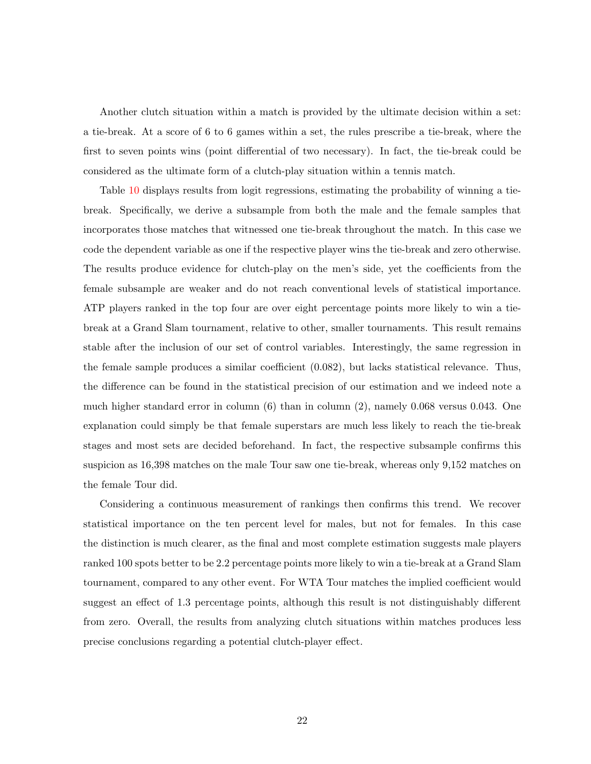Another clutch situation within a match is provided by the ultimate decision within a set: a tie-break. At a score of 6 to 6 games within a set, the rules prescribe a tie-break, where the first to seven points wins (point differential of two necessary). In fact, the tie-break could be considered as the ultimate form of a clutch-play situation within a tennis match.

Table [10](#page-25-0) displays results from logit regressions, estimating the probability of winning a tiebreak. Specifically, we derive a subsample from both the male and the female samples that incorporates those matches that witnessed one tie-break throughout the match. In this case we code the dependent variable as one if the respective player wins the tie-break and zero otherwise. The results produce evidence for clutch-play on the men's side, yet the coefficients from the female subsample are weaker and do not reach conventional levels of statistical importance. ATP players ranked in the top four are over eight percentage points more likely to win a tiebreak at a Grand Slam tournament, relative to other, smaller tournaments. This result remains stable after the inclusion of our set of control variables. Interestingly, the same regression in the female sample produces a similar coefficient (0.082), but lacks statistical relevance. Thus, the difference can be found in the statistical precision of our estimation and we indeed note a much higher standard error in column (6) than in column (2), namely 0.068 versus 0.043. One explanation could simply be that female superstars are much less likely to reach the tie-break stages and most sets are decided beforehand. In fact, the respective subsample confirms this suspicion as 16,398 matches on the male Tour saw one tie-break, whereas only 9,152 matches on the female Tour did.

Considering a continuous measurement of rankings then confirms this trend. We recover statistical importance on the ten percent level for males, but not for females. In this case the distinction is much clearer, as the final and most complete estimation suggests male players ranked 100 spots better to be 2.2 percentage points more likely to win a tie-break at a Grand Slam tournament, compared to any other event. For WTA Tour matches the implied coefficient would suggest an effect of 1.3 percentage points, although this result is not distinguishably different from zero. Overall, the results from analyzing clutch situations within matches produces less precise conclusions regarding a potential clutch-player effect.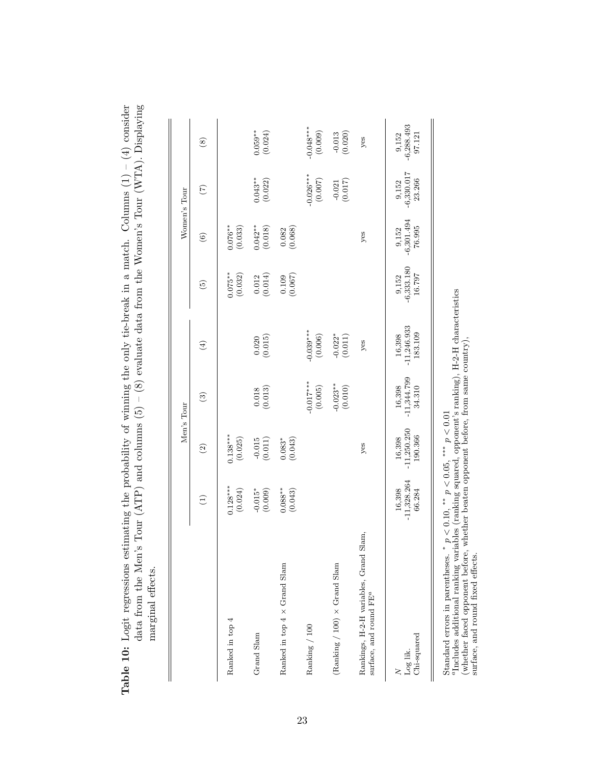<span id="page-25-0"></span>

| $-$ (4) co                                                                    | ・エュー・コード                                                               |                   |
|-------------------------------------------------------------------------------|------------------------------------------------------------------------|-------------------|
|                                                                               |                                                                        |                   |
|                                                                               |                                                                        |                   |
| $\overline{a}$                                                                | (N/TA)                                                                 |                   |
|                                                                               |                                                                        |                   |
|                                                                               |                                                                        |                   |
|                                                                               |                                                                        |                   |
|                                                                               |                                                                        |                   |
|                                                                               |                                                                        |                   |
| as estimating the probability of whing the only tie-break in a match. Columns | $(ATP)$ and columns $(5) - (8)$ evaluate data from the Women's Tour (" |                   |
|                                                                               |                                                                        |                   |
|                                                                               | $Aen$ 's lour $(AIF)$<br>ĺ                                             |                   |
|                                                                               |                                                                        |                   |
| ble 10: Logit regressions                                                     | data from the N                                                        | marginal effects. |
|                                                                               |                                                                        |                   |
|                                                                               |                                                                        |                   |
|                                                                               |                                                                        |                   |

|                                                                              |                                   |                                    | Men's Tour                                                     |                                    |                                                                      | Women's Tour                                                 |                                   |                                   |
|------------------------------------------------------------------------------|-----------------------------------|------------------------------------|----------------------------------------------------------------|------------------------------------|----------------------------------------------------------------------|--------------------------------------------------------------|-----------------------------------|-----------------------------------|
|                                                                              | $\bigoplus$                       | $\odot$                            | $\widehat{\mathbf{c}}$                                         | $\bigoplus$                        | $\odot$                                                              | $\odot$                                                      | $\widehat{\Xi}$                   | $\circledast$                     |
| Ranked in top 4                                                              | $0.128***$<br>(0.024)             | $0.138***$<br>(0.025)              |                                                                |                                    | $0.075**$<br>(0.032)                                                 | $0.076**$<br>(0.033)                                         |                                   |                                   |
| Grand Slam                                                                   | $-0.015*$<br>(0.009)              | (0.015)                            | (0.018)                                                        | (0.020)                            | $\begin{array}{c} 0.012 \\ (0.014) \end{array}$                      | $0.042**$<br>(0.018)                                         | $0.043**$<br>(0.022)              | $0.059**$<br>(0.024)              |
| Ranked in top $4 \times$ Grand Slam                                          | $0.088**$<br>(0.043)              | $0.083*$<br>(0.043)                |                                                                |                                    | $(0.109$<br>$(0.067)$                                                | $\begin{array}{c} 0.082 \\ (0.068) \end{array}$              |                                   |                                   |
| Ranking / 100                                                                |                                   |                                    | $-0.017***$<br>(0.005)                                         | $-0.039***$<br>(0.006)             |                                                                      |                                                              | $0.026***$<br>(0.007)             | $0.048***$<br>(0.009)             |
| (Ranking / 100) $\times$ Grand Slam                                          |                                   |                                    | $-0.023**$<br>(0.010)                                          | $-0.022$ * $(0.011)$               |                                                                      |                                                              | $-0.021$<br>(0.017)               | $-0.013$<br>(0.020)               |
| Rankings, H-2-H variables, Grand Slam,<br>surface, and round FE <sup>a</sup> |                                   | yes                                |                                                                | yes                                |                                                                      | yes                                                          |                                   | $y$ es                            |
| Chi-squared<br>$\frac{N}{\text{Log lik}}$                                    | $-11,328.264$<br>16,398<br>66.284 | $16,398$<br>-11,250.250<br>190.366 | $\begin{array}{c} 16,398 \\ -11,344.799 \\ 34.310 \end{array}$ | $16,398$<br>-11,246.933<br>183.109 | $\begin{array}{c} 9{,}152 \\ -6{,}333{,}180 \\ 16{,}797 \end{array}$ | $\begin{array}{c} 9,152 \\ -6,301.494 \\ 76.995 \end{array}$ | $9,152$<br>$-6,330.017$<br>23.266 | $9,152$<br>$-6,288.493$<br>97.121 |

Standard errors in parentheses.  ${}^*p < 0.10, {}^{**}p < 0.05, {}^{***}p < 0.01$ 

Standard errors in parentheses.  $*_{p} < 0.10$ ,  $*_{p} < 0.05$ ,  $***_{p} < 0.01$ <br>"Includes additional ranking variables (ranking squared, opponent's ranking), H-2-H characteristics<br>(whether faced opponent before, whether beaten o aIncludes additional ranking variables (ranking squared, opponent's ranking), H-2-H characteristics

(whether faced opponent before, whether beaten opponent before, from same country), surface, and round fixed effects.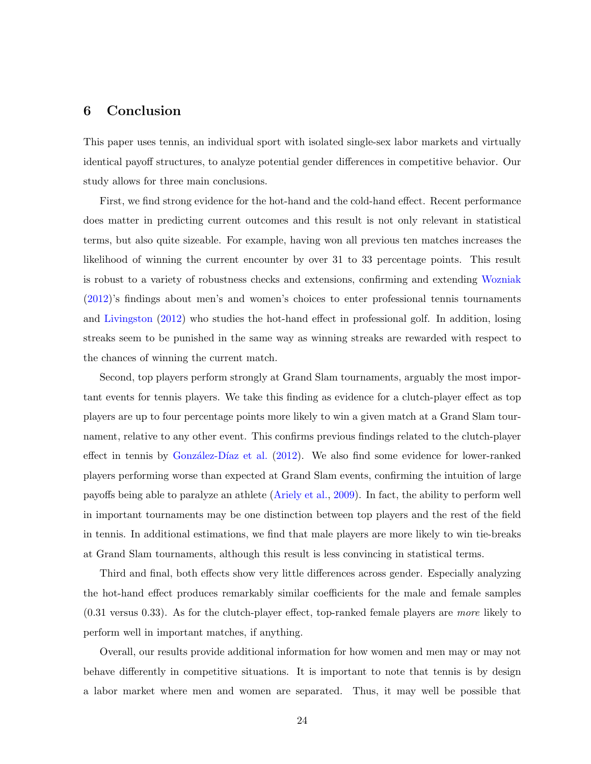#### 6 Conclusion

This paper uses tennis, an individual sport with isolated single-sex labor markets and virtually identical payoff structures, to analyze potential gender differences in competitive behavior. Our study allows for three main conclusions.

First, we find strong evidence for the hot-hand and the cold-hand effect. Recent performance does matter in predicting current outcomes and this result is not only relevant in statistical terms, but also quite sizeable. For example, having won all previous ten matches increases the likelihood of winning the current encounter by over 31 to 33 percentage points. This result is robust to a variety of robustness checks and extensions, confirming and extending [Wozniak](#page-29-5) [\(2012\)](#page-29-5)'s findings about men's and women's choices to enter professional tennis tournaments and [Livingston](#page-29-6) [\(2012\)](#page-29-6) who studies the hot-hand effect in professional golf. In addition, losing streaks seem to be punished in the same way as winning streaks are rewarded with respect to the chances of winning the current match.

Second, top players perform strongly at Grand Slam tournaments, arguably the most important events for tennis players. We take this finding as evidence for a clutch-player effect as top players are up to four percentage points more likely to win a given match at a Grand Slam tournament, relative to any other event. This confirms previous findings related to the clutch-player effect in tennis by González-Díaz et al.  $(2012)$ . We also find some evidence for lower-ranked players performing worse than expected at Grand Slam events, confirming the intuition of large payoffs being able to paralyze an athlete [\(Ariely et al.,](#page-28-12) [2009\)](#page-28-12). In fact, the ability to perform well in important tournaments may be one distinction between top players and the rest of the field in tennis. In additional estimations, we find that male players are more likely to win tie-breaks at Grand Slam tournaments, although this result is less convincing in statistical terms.

Third and final, both effects show very little differences across gender. Especially analyzing the hot-hand effect produces remarkably similar coefficients for the male and female samples (0.31 versus 0.33). As for the clutch-player effect, top-ranked female players are more likely to perform well in important matches, if anything.

Overall, our results provide additional information for how women and men may or may not behave differently in competitive situations. It is important to note that tennis is by design a labor market where men and women are separated. Thus, it may well be possible that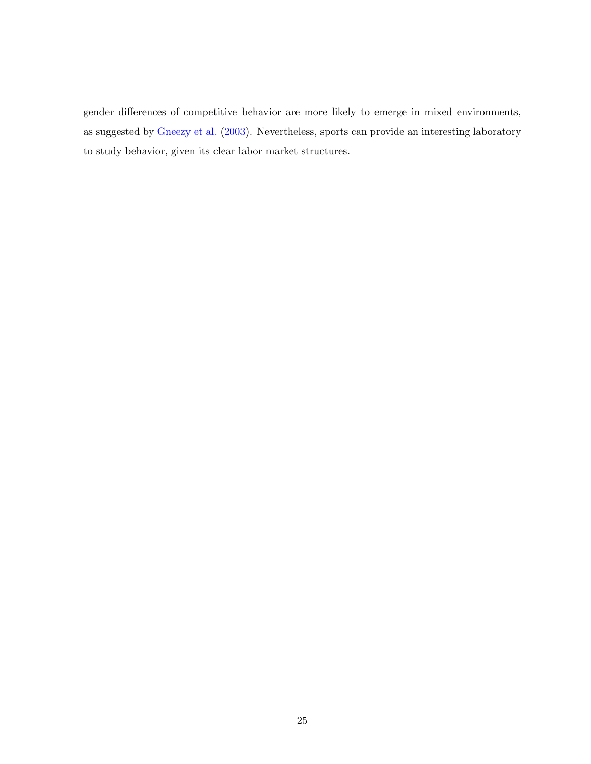gender differences of competitive behavior are more likely to emerge in mixed environments, as suggested by [Gneezy et al.](#page-28-0) [\(2003\)](#page-28-0). Nevertheless, sports can provide an interesting laboratory to study behavior, given its clear labor market structures.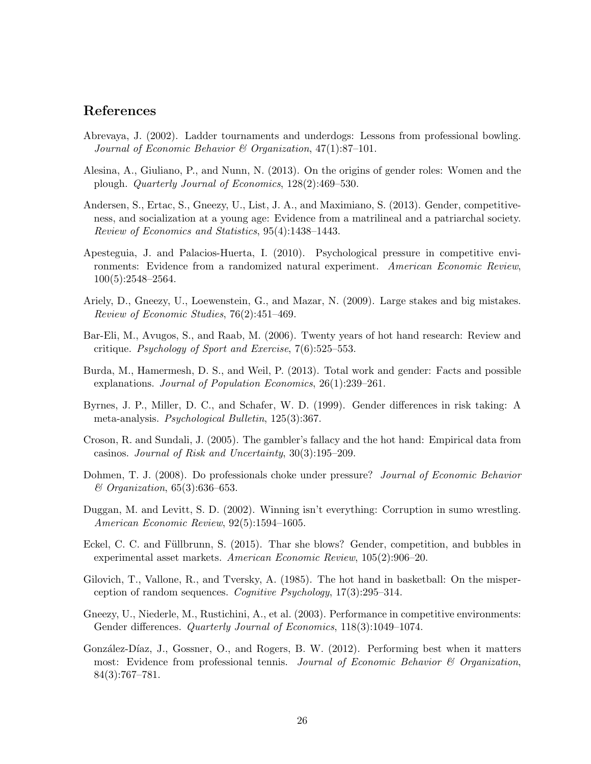#### References

- <span id="page-28-7"></span>Abrevaya, J. (2002). Ladder tournaments and underdogs: Lessons from professional bowling. Journal of Economic Behavior & Organization,  $47(1)$ :87-101.
- <span id="page-28-3"></span>Alesina, A., Giuliano, P., and Nunn, N. (2013). On the origins of gender roles: Women and the plough. Quarterly Journal of Economics, 128(2):469–530.
- <span id="page-28-5"></span>Andersen, S., Ertac, S., Gneezy, U., List, J. A., and Maximiano, S. (2013). Gender, competitiveness, and socialization at a young age: Evidence from a matrilineal and a patriarchal society. Review of Economics and Statistics, 95(4):1438–1443.
- <span id="page-28-13"></span>Apesteguia, J. and Palacios-Huerta, I. (2010). Psychological pressure in competitive environments: Evidence from a randomized natural experiment. American Economic Review, 100(5):2548–2564.
- <span id="page-28-12"></span>Ariely, D., Gneezy, U., Loewenstein, G., and Mazar, N. (2009). Large stakes and big mistakes. Review of Economic Studies, 76(2):451–469.
- <span id="page-28-10"></span>Bar-Eli, M., Avugos, S., and Raab, M. (2006). Twenty years of hot hand research: Review and critique. Psychology of Sport and Exercise, 7(6):525–553.
- <span id="page-28-4"></span>Burda, M., Hamermesh, D. S., and Weil, P. (2013). Total work and gender: Facts and possible explanations. Journal of Population Economics, 26(1):239–261.
- <span id="page-28-1"></span>Byrnes, J. P., Miller, D. C., and Schafer, W. D. (1999). Gender differences in risk taking: A meta-analysis. Psychological Bulletin, 125(3):367.
- <span id="page-28-8"></span>Croson, R. and Sundali, J. (2005). The gambler's fallacy and the hot hand: Empirical data from casinos. Journal of Risk and Uncertainty, 30(3):195–209.
- <span id="page-28-11"></span>Dohmen, T. J. (2008). Do professionals choke under pressure? Journal of Economic Behavior & Organization, 65(3):636–653.
- <span id="page-28-9"></span>Duggan, M. and Levitt, S. D. (2002). Winning isn't everything: Corruption in sumo wrestling. American Economic Review, 92(5):1594–1605.
- <span id="page-28-2"></span>Eckel, C. C. and Füllbrunn, S. (2015). Thar she blows? Gender, competition, and bubbles in experimental asset markets. American Economic Review, 105(2):906–20.
- <span id="page-28-6"></span>Gilovich, T., Vallone, R., and Tversky, A. (1985). The hot hand in basketball: On the misperception of random sequences. Cognitive Psychology, 17(3):295–314.
- <span id="page-28-0"></span>Gneezy, U., Niederle, M., Rustichini, A., et al. (2003). Performance in competitive environments: Gender differences. Quarterly Journal of Economics, 118(3):1049–1074.
- <span id="page-28-14"></span>González-Díaz, J., Gossner, O., and Rogers, B. W. (2012). Performing best when it matters most: Evidence from professional tennis. Journal of Economic Behavior & Organization, 84(3):767–781.